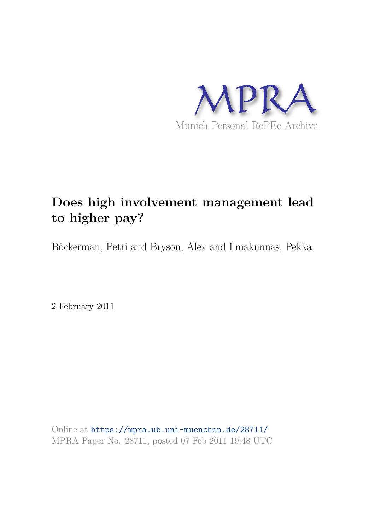

# **Does high involvement management lead to higher pay?**

Böckerman, Petri and Bryson, Alex and Ilmakunnas, Pekka

2 February 2011

Online at https://mpra.ub.uni-muenchen.de/28711/ MPRA Paper No. 28711, posted 07 Feb 2011 19:48 UTC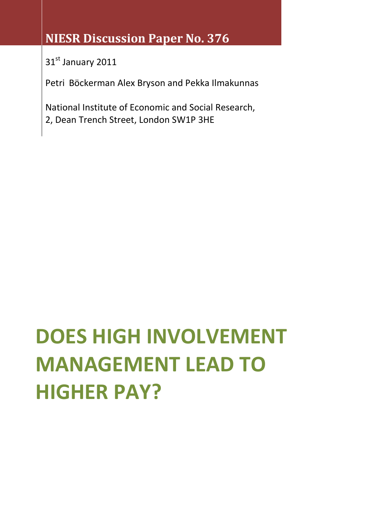## **NIESR Discussion Paper No. 376**

31st January 2011

Petri Böckerman Alex Bryson and Pekka Ilmakunnas

National Institute of Economic and Social Research, 2, Dean Trench Street, London SW1P 3HE

# **DOES HIGH INVOLVEMENT MANAGEMENT LEAD TO HIGHER PAY?**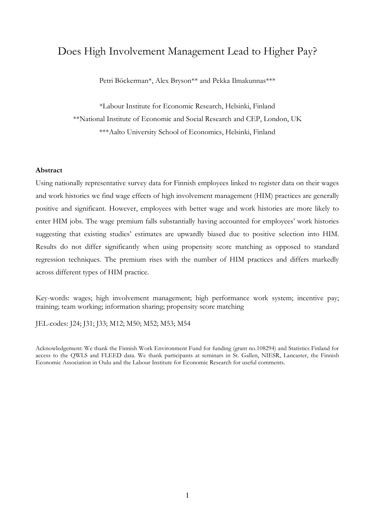## Does High Involvement Management Lead to Higher Pay?

Petri Böckerman\*, Alex Bryson\*\* and Pekka Ilmakunnas\*\*\*

\*Labour Institute for Economic Research, Helsinki, Finland \*\*National Institute of Economic and Social Research and CEP, London, UK \*\*\*Aalto University School of Economics, Helsinki, Finland

#### **Abstract**

Using nationally representative survey data for Finnish employees linked to register data on their wages and work histories we find wage effects of high involvement management (HIM) practices are generally positive and significant. However, employees with better wage and work histories are more likely to enter HIM jobs. The wage premium falls substantially having accounted for employees" work histories suggesting that existing studies' estimates are upwardly biased due to positive selection into HIM. Results do not differ significantly when using propensity score matching as opposed to standard regression techniques. The premium rises with the number of HIM practices and differs markedly across different types of HIM practice.

Key-words: wages; high involvement management; high performance work system; incentive pay; training; team working; information sharing; propensity score matching

JEL-codes: J24; J31; J33; M12; M50; M52; M53; M54

Acknowledgement: We thank the Finnish Work Environment Fund for funding (grant no.108294) and Statistics Finland for access to the QWLS and FLEED data. We thank participants at seminars in St. Gallen, NIESR, Lancaster, the Finnish Economic Association in Oulu and the Labour Institute for Economic Research for useful comments.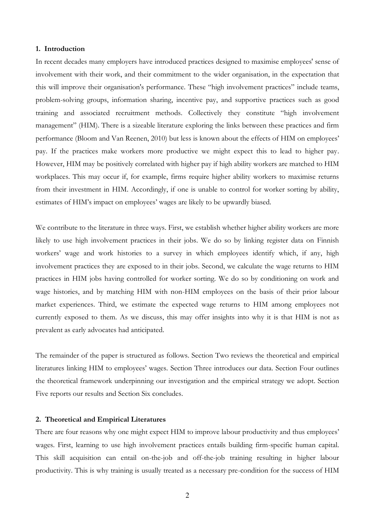#### **1. Introduction**

In recent decades many employers have introduced practices designed to maximise employees' sense of involvement with their work, and their commitment to the wider organisation, in the expectation that this will improve their organisation's performance. These "high involvement practices" include teams, problem-solving groups, information sharing, incentive pay, and supportive practices such as good training and associated recruitment methods. Collectively they constitute "high involvement management" (HIM). There is a sizeable literature exploring the links between these practices and firm performance (Bloom and Van Reenen, 2010) but less is known about the effects of HIM on employees" pay. If the practices make workers more productive we might expect this to lead to higher pay. However, HIM may be positively correlated with higher pay if high ability workers are matched to HIM workplaces. This may occur if, for example, firms require higher ability workers to maximise returns from their investment in HIM. Accordingly, if one is unable to control for worker sorting by ability, estimates of HIM's impact on employees' wages are likely to be upwardly biased.

We contribute to the literature in three ways. First, we establish whether higher ability workers are more likely to use high involvement practices in their jobs. We do so by linking register data on Finnish workers" wage and work histories to a survey in which employees identify which, if any, high involvement practices they are exposed to in their jobs. Second, we calculate the wage returns to HIM practices in HIM jobs having controlled for worker sorting. We do so by conditioning on work and wage histories, and by matching HIM with non-HIM employees on the basis of their prior labour market experiences. Third, we estimate the expected wage returns to HIM among employees not currently exposed to them. As we discuss, this may offer insights into why it is that HIM is not as prevalent as early advocates had anticipated.

The remainder of the paper is structured as follows. Section Two reviews the theoretical and empirical literatures linking HIM to employees" wages. Section Three introduces our data. Section Four outlines the theoretical framework underpinning our investigation and the empirical strategy we adopt. Section Five reports our results and Section Six concludes.

#### **2. Theoretical and Empirical Literatures**

There are four reasons why one might expect HIM to improve labour productivity and thus employees' wages. First, learning to use high involvement practices entails building firm-specific human capital. This skill acquisition can entail on-the-job and off-the-job training resulting in higher labour productivity. This is why training is usually treated as a necessary pre-condition for the success of HIM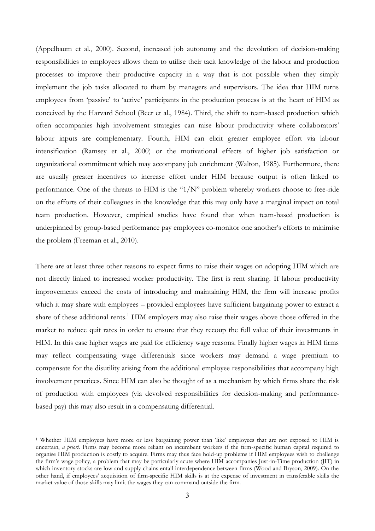(Appelbaum et al., 2000). Second, increased job autonomy and the devolution of decision-making responsibilities to employees allows them to utilise their tacit knowledge of the labour and production processes to improve their productive capacity in a way that is not possible when they simply implement the job tasks allocated to them by managers and supervisors. The idea that HIM turns employees from "passive" to "active" participants in the production process is at the heart of HIM as conceived by the Harvard School (Beer et al., 1984). Third, the shift to team-based production which often accompanies high involvement strategies can raise labour productivity where collaborators" labour inputs are complementary. Fourth, HIM can elicit greater employee effort via labour intensification (Ramsey et al., 2000) or the motivational effects of higher job satisfaction or organizational commitment which may accompany job enrichment (Walton, 1985). Furthermore, there are usually greater incentives to increase effort under HIM because output is often linked to performance. One of the threats to HIM is the "1/N" problem whereby workers choose to free-ride on the efforts of their colleagues in the knowledge that this may only have a marginal impact on total team production. However, empirical studies have found that when team-based production is underpinned by group-based performance pay employees co-monitor one another"s efforts to minimise the problem (Freeman et al., 2010).

There are at least three other reasons to expect firms to raise their wages on adopting HIM which are not directly linked to increased worker productivity. The first is rent sharing. If labour productivity improvements exceed the costs of introducing and maintaining HIM, the firm will increase profits which it may share with employees – provided employees have sufficient bargaining power to extract a share of these additional rents.<sup>1</sup> HIM employers may also raise their wages above those offered in the market to reduce quit rates in order to ensure that they recoup the full value of their investments in HIM. In this case higher wages are paid for efficiency wage reasons. Finally higher wages in HIM firms may reflect compensating wage differentials since workers may demand a wage premium to compensate for the disutility arising from the additional employee responsibilities that accompany high involvement practices. Since HIM can also be thought of as a mechanism by which firms share the risk of production with employees (via devolved responsibilities for decision-making and performancebased pay) this may also result in a compensating differential.

 $\overline{a}$ 

<sup>&</sup>lt;sup>1</sup> Whether HIM employees have more or less bargaining power than 'like' employees that are not exposed to HIM is uncertain, *a priori*. Firms may become more reliant on incumbent workers if the firm-specific human capital required to organise HIM production is costly to acquire. Firms may thus face hold-up problems if HIM employees wish to challenge the firm"s wage policy, a problem that may be particularly acute where HIM accompanies Just-in-Time production (JIT) in which inventory stocks are low and supply chains entail interdependence between firms (Wood and Bryson, 2009). On the other hand, if employees" acquisition of firm-specific HIM skills is at the expense of investment in transferable skills the market value of those skills may limit the wages they can command outside the firm.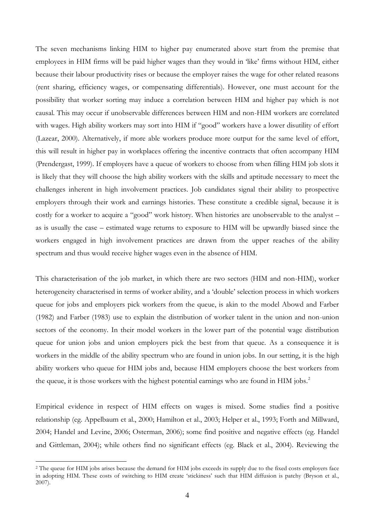The seven mechanisms linking HIM to higher pay enumerated above start from the premise that employees in HIM firms will be paid higher wages than they would in "like" firms without HIM, either because their labour productivity rises or because the employer raises the wage for other related reasons (rent sharing, efficiency wages, or compensating differentials). However, one must account for the possibility that worker sorting may induce a correlation between HIM and higher pay which is not causal. This may occur if unobservable differences between HIM and non-HIM workers are correlated with wages. High ability workers may sort into HIM if "good" workers have a lower disutility of effort (Lazear, 2000). Alternatively, if more able workers produce more output for the same level of effort, this will result in higher pay in workplaces offering the incentive contracts that often accompany HIM (Prendergast, 1999). If employers have a queue of workers to choose from when filling HIM job slots it is likely that they will choose the high ability workers with the skills and aptitude necessary to meet the challenges inherent in high involvement practices. Job candidates signal their ability to prospective employers through their work and earnings histories. These constitute a credible signal, because it is costly for a worker to acquire a "good" work history. When histories are unobservable to the analyst – as is usually the case – estimated wage returns to exposure to HIM will be upwardly biased since the workers engaged in high involvement practices are drawn from the upper reaches of the ability spectrum and thus would receive higher wages even in the absence of HIM.

This characterisation of the job market, in which there are two sectors (HIM and non-HIM), worker heterogeneity characterised in terms of worker ability, and a "double" selection process in which workers queue for jobs and employers pick workers from the queue, is akin to the model Abowd and Farber (1982) and Farber (1983) use to explain the distribution of worker talent in the union and non-union sectors of the economy. In their model workers in the lower part of the potential wage distribution queue for union jobs and union employers pick the best from that queue. As a consequence it is workers in the middle of the ability spectrum who are found in union jobs. In our setting, it is the high ability workers who queue for HIM jobs and, because HIM employers choose the best workers from the queue, it is those workers with the highest potential earnings who are found in HIM jobs.<sup>2</sup>

Empirical evidence in respect of HIM effects on wages is mixed. Some studies find a positive relationship (eg. Appelbaum et al., 2000; Hamilton et al., 2003; Helper et al., 1993; Forth and Millward, 2004; Handel and Levine, 2006; Osterman, 2006); some find positive and negative effects (eg. Handel and Gittleman, 2004); while others find no significant effects (eg. Black et al., 2004). Reviewing the

 $\overline{a}$ 

<sup>&</sup>lt;sup>2</sup> The queue for HIM jobs arises because the demand for HIM jobs exceeds its supply due to the fixed costs employers face in adopting HIM. These costs of switching to HIM create "stickiness" such that HIM diffusion is patchy (Bryson et al., 2007).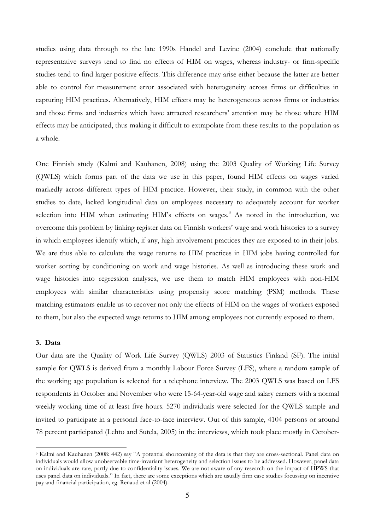studies using data through to the late 1990s Handel and Levine (2004) conclude that nationally representative surveys tend to find no effects of HIM on wages, whereas industry- or firm-specific studies tend to find larger positive effects. This difference may arise either because the latter are better able to control for measurement error associated with heterogeneity across firms or difficulties in capturing HIM practices. Alternatively, HIM effects may be heterogeneous across firms or industries and those firms and industries which have attracted researchers" attention may be those where HIM effects may be anticipated, thus making it difficult to extrapolate from these results to the population as a whole.

One Finnish study (Kalmi and Kauhanen, 2008) using the 2003 Quality of Working Life Survey (QWLS) which forms part of the data we use in this paper, found HIM effects on wages varied markedly across different types of HIM practice. However, their study, in common with the other studies to date, lacked longitudinal data on employees necessary to adequately account for worker selection into HIM when estimating HIM's effects on wages.<sup>3</sup> As noted in the introduction, we overcome this problem by linking register data on Finnish workers" wage and work histories to a survey in which employees identify which, if any, high involvement practices they are exposed to in their jobs. We are thus able to calculate the wage returns to HIM practices in HIM jobs having controlled for worker sorting by conditioning on work and wage histories. As well as introducing these work and wage histories into regression analyses, we use them to match HIM employees with non-HIM employees with similar characteristics using propensity score matching (PSM) methods. These matching estimators enable us to recover not only the effects of HIM on the wages of workers exposed to them, but also the expected wage returns to HIM among employees not currently exposed to them.

#### **3. Data**

 $\overline{a}$ 

Our data are the Quality of Work Life Survey (QWLS) 2003 of Statistics Finland (SF). The initial sample for QWLS is derived from a monthly Labour Force Survey (LFS), where a random sample of the working age population is selected for a telephone interview. The 2003 QWLS was based on LFS respondents in October and November who were 15-64-year-old wage and salary earners with a normal weekly working time of at least five hours. 5270 individuals were selected for the QWLS sample and invited to participate in a personal face-to-face interview. Out of this sample, 4104 persons or around 78 percent participated (Lehto and Sutela, 2005) in the interviews, which took place mostly in October-

<sup>3</sup> Kalmi and Kauhanen (2008: 442) say "A potential shortcoming of the data is that they are cross-sectional. Panel data on individuals would allow unobservable time-invariant heterogeneity and selection issues to be addressed. However, panel data on individuals are rare, partly due to confidentiality issues. We are not aware of any research on the impact of HPWS that uses panel data on individuals." In fact, there are some exceptions which are usually firm case studies focussing on incentive pay and financial participation, eg. Renaud et al (2004).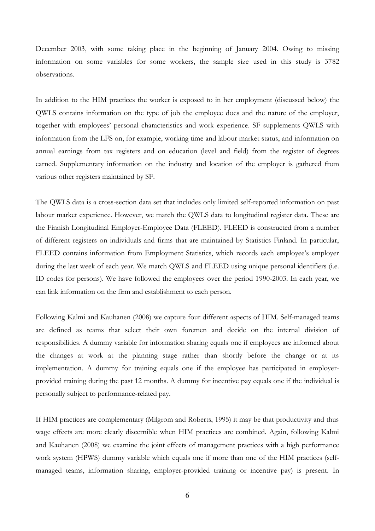December 2003, with some taking place in the beginning of January 2004. Owing to missing information on some variables for some workers, the sample size used in this study is 3782 observations.

In addition to the HIM practices the worker is exposed to in her employment (discussed below) the QWLS contains information on the type of job the employee does and the nature of the employer, together with employees" personal characteristics and work experience. SF supplements QWLS with information from the LFS on, for example, working time and labour market status, and information on annual earnings from tax registers and on education (level and field) from the register of degrees earned. Supplementary information on the industry and location of the employer is gathered from various other registers maintained by SF.

The QWLS data is a cross-section data set that includes only limited self-reported information on past labour market experience. However, we match the QWLS data to longitudinal register data. These are the Finnish Longitudinal Employer-Employee Data (FLEED). FLEED is constructed from a number of different registers on individuals and firms that are maintained by Statistics Finland. In particular, FLEED contains information from Employment Statistics, which records each employee's employer during the last week of each year. We match QWLS and FLEED using unique personal identifiers (i.e. ID codes for persons). We have followed the employees over the period 1990-2003. In each year, we can link information on the firm and establishment to each person.

Following Kalmi and Kauhanen (2008) we capture four different aspects of HIM. Self-managed teams are defined as teams that select their own foremen and decide on the internal division of responsibilities. A dummy variable for information sharing equals one if employees are informed about the changes at work at the planning stage rather than shortly before the change or at its implementation. A dummy for training equals one if the employee has participated in employerprovided training during the past 12 months. A dummy for incentive pay equals one if the individual is personally subject to performance-related pay.

If HIM practices are complementary (Milgrom and Roberts, 1995) it may be that productivity and thus wage effects are more clearly discernible when HIM practices are combined. Again, following Kalmi and Kauhanen (2008) we examine the joint effects of management practices with a high performance work system (HPWS) dummy variable which equals one if more than one of the HIM practices (selfmanaged teams, information sharing, employer-provided training or incentive pay) is present. In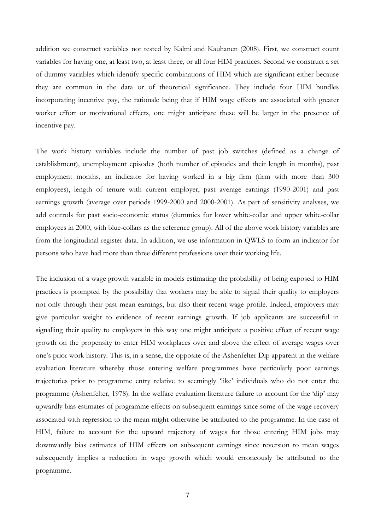addition we construct variables not tested by Kalmi and Kauhanen (2008). First, we construct count variables for having one, at least two, at least three, or all four HIM practices. Second we construct a set of dummy variables which identify specific combinations of HIM which are significant either because they are common in the data or of theoretical significance. They include four HIM bundles incorporating incentive pay, the rationale being that if HIM wage effects are associated with greater worker effort or motivational effects, one might anticipate these will be larger in the presence of incentive pay.

The work history variables include the number of past job switches (defined as a change of establishment), unemployment episodes (both number of episodes and their length in months), past employment months, an indicator for having worked in a big firm (firm with more than 300 employees), length of tenure with current employer, past average earnings (1990-2001) and past earnings growth (average over periods 1999-2000 and 2000-2001). As part of sensitivity analyses, we add controls for past socio-economic status (dummies for lower white-collar and upper white-collar employees in 2000, with blue-collars as the reference group). All of the above work history variables are from the longitudinal register data. In addition, we use information in QWLS to form an indicator for persons who have had more than three different professions over their working life.

The inclusion of a wage growth variable in models estimating the probability of being exposed to HIM practices is prompted by the possibility that workers may be able to signal their quality to employers not only through their past mean earnings, but also their recent wage profile. Indeed, employers may give particular weight to evidence of recent earnings growth. If job applicants are successful in signalling their quality to employers in this way one might anticipate a positive effect of recent wage growth on the propensity to enter HIM workplaces over and above the effect of average wages over one"s prior work history. This is, in a sense, the opposite of the Ashenfelter Dip apparent in the welfare evaluation literature whereby those entering welfare programmes have particularly poor earnings trajectories prior to programme entry relative to seemingly "like" individuals who do not enter the programme (Ashenfelter, 1978). In the welfare evaluation literature failure to account for the "dip" may upwardly bias estimates of programme effects on subsequent earnings since some of the wage recovery associated with regression to the mean might otherwise be attributed to the programme. In the case of HIM, failure to account for the upward trajectory of wages for those entering HIM jobs may downwardly bias estimates of HIM effects on subsequent earnings since reversion to mean wages subsequently implies a reduction in wage growth which would erroneously be attributed to the programme.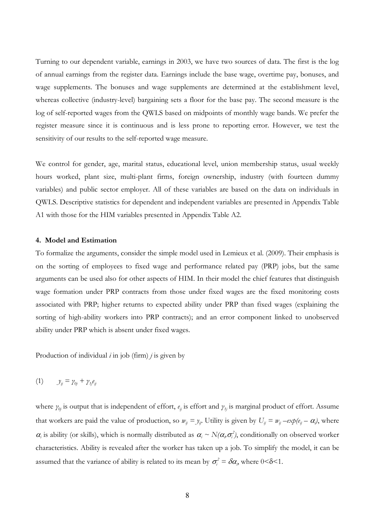Turning to our dependent variable, earnings in 2003, we have two sources of data. The first is the log of annual earnings from the register data. Earnings include the base wage, overtime pay, bonuses, and wage supplements. The bonuses and wage supplements are determined at the establishment level, whereas collective (industry-level) bargaining sets a floor for the base pay. The second measure is the log of self-reported wages from the QWLS based on midpoints of monthly wage bands. We prefer the register measure since it is continuous and is less prone to reporting error. However, we test the sensitivity of our results to the self-reported wage measure.

We control for gender, age, marital status, educational level, union membership status, usual weekly hours worked, plant size, multi-plant firms, foreign ownership, industry (with fourteen dummy variables) and public sector employer. All of these variables are based on the data on individuals in QWLS. Descriptive statistics for dependent and independent variables are presented in Appendix Table A1 with those for the HIM variables presented in Appendix Table A2.

#### **4. Model and Estimation**

To formalize the arguments, consider the simple model used in Lemieux et al. (2009). Their emphasis is on the sorting of employees to fixed wage and performance related pay (PRP) jobs, but the same arguments can be used also for other aspects of HIM. In their model the chief features that distinguish wage formation under PRP contracts from those under fixed wages are the fixed monitoring costs associated with PRP; higher returns to expected ability under PRP than fixed wages (explaining the sorting of high-ability workers into PRP contracts); and an error component linked to unobserved ability under PRP which is absent under fixed wages.

Production of individual *i* in job (firm) *j* is given by

$$
(1) \qquad y_{ij} = \gamma_{0j} + \gamma_{1j}e_{ij}
$$

where  $\gamma_{0j}$  is output that is independent of effort,  $e_{ij}$  is effort and  $\gamma_{1j}$  is marginal product of effort. Assume that workers are paid the value of production, so  $w_{ij} = y_j$ . Utility is given by  $U_{ij} = w_{ij} - exp(e_{ij} - \alpha_j)$ , where  $\alpha_i$  is ability (or skills), which is normally distributed as  $\alpha_i \sim N(\alpha_i \sigma_i^2)$ , conditionally on observed worker characteristics. Ability is revealed after the worker has taken up a job. To simplify the model, it can be assumed that the variance of ability is related to its mean by  $\sigma_i^2 = \delta \alpha_i$ , where  $0 < \delta < 1$ .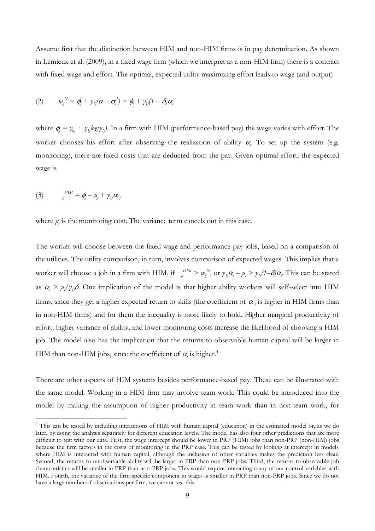Assume first that the distinction between HIM and non-HIM firms is in pay determination. As shown in Lemieux et al. (2009), in a fixed wage firm (which we interpret as a non-HIM firm) there is a contract with fixed wage and effort. The optimal, expected utility maximizing effort leads to wage (and output)

(2) 
$$
w_{ij}^N = \phi_j + \gamma_{ij}(\alpha - \sigma_i^2) = \phi_j + \gamma_{ij}(1 - \delta)\alpha_i
$$

where  $\phi_i = \gamma_{0i} + \gamma_i \log(\gamma_i)$ . In a firm with HIM (performance-based pay) the wage varies with effort. The worker chooses his effort after observing the realization of ability  $\alpha_i$ . To set up the system (e.g. monitoring), there are fixed costs that are deducted from the pay. Given optimal effort, the expected wage is

(3) 
$$
{}_{ij}^{HIM} = \phi_j - \mu_j + \gamma_{ij} \alpha_j
$$

 $\overline{a}$ 

where  $\mu_j$  is the monitoring cost. The variance term cancels out in this case.

The worker will choose between the fixed wage and performance pay jobs, based on a comparison of the utilities. The utility comparison, in turn, involves comparison of expected wages. This implies that a worker will choose a job in a firm with HIM, if  $\frac{HM}{j} > w_j^N$ , or  $\gamma_{ij} \alpha_i - \mu_j > \gamma_{ij} (1 - \delta) \alpha_i$ . This can be stated as  $\alpha_i > \mu_i/\gamma_i \delta$ . One implication of the model is that higher ability workers will self-select into HIM firms, since they get a higher expected return to skills (the coefficient of  $\alpha_j$  is higher in HIM firms than in non-HIM firms) and for them the inequality is more likely to hold. Higher marginal productivity of effort, higher variance of ability, and lower monitoring costs increase the likelihood of choosing a HIM job. The model also has the implication that the returns to observable human capital will be larger in HIM than non-HIM jobs, since the coefficient of  $\alpha_i$  is higher.<sup>4</sup>

There are other aspects of HIM systems besides performance-based pay. These can be illustrated with the same model. Working in a HIM firm may involve team work. This could be introduced into the model by making the assumption of higher productivity in team work than in non-team work, for

<sup>&</sup>lt;sup>4</sup> This can be tested by including interactions of HIM with human capital (education) in the estimated model or, as we do later, by doing the analysis separately for different education levels. The model has also four other predictions that are more difficult to test with our data. First, the wage intercept should be lower in PRP (HIM) jobs than non-PRP (non-HIM) jobs because the firm factors in the costs of monitoring in the PRP case. This can be tested by looking at intercept in models where HIM is interacted with human capital, although the inclusion of other variables makes the prediction less clear. Second, the returns to unobservable ability will be larger in PRP than non-PRP jobs. Third, the returns to observable job characteristics will be smaller in PRP than non-PRP jobs. This would require interacting many of our control variables with HIM. Fourth, the variance of the firm-specific component in wages is smaller in PRP than non-PRP jobs. Since we do not have a large number of observations per firm, we cannot test this.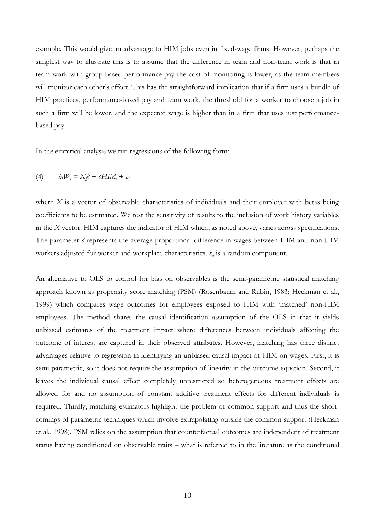example. This would give an advantage to HIM jobs even in fixed-wage firms. However, perhaps the simplest way to illustrate this is to assume that the difference in team and non-team work is that in team work with group-based performance pay the cost of monitoring is lower, as the team members will monitor each other's effort. This has the straightforward implication that if a firm uses a bundle of HIM practices, performance-based pay and team work, the threshold for a worker to choose a job in such a firm will be lower, and the expected wage is higher than in a firm that uses just performancebased pay.

In the empirical analysis we run regressions of the following form:

$$
(4) \qquad \ln W_i = X_i \beta + \delta H I M_i + \varepsilon_i
$$

where *X* is a vector of observable characteristics of individuals and their employer with betas being coefficients to be estimated. We test the sensitivity of results to the inclusion of work history variables in the *X* vector. HIM captures the indicator of HIM which, as noted above, varies across specifications. The parameter *δ* represents the average proportional difference in wages between HIM and non-HIM workers adjusted for worker and workplace characteristics.  $\varepsilon_{i}$  is a random component.

An alternative to OLS to control for bias on observables is the semi-parametric statistical matching approach known as propensity score matching (PSM) (Rosenbaum and Rubin, 1983; Heckman et al., 1999) which compares wage outcomes for employees exposed to HIM with "matched" non-HIM employees. The method shares the causal identification assumption of the OLS in that it yields unbiased estimates of the treatment impact where differences between individuals affecting the outcome of interest are captured in their observed attributes. However, matching has three distinct advantages relative to regression in identifying an unbiased causal impact of HIM on wages. First, it is semi-parametric, so it does not require the assumption of linearity in the outcome equation. Second, it leaves the individual causal effect completely unrestricted so heterogeneous treatment effects are allowed for and no assumption of constant additive treatment effects for different individuals is required. Thirdly, matching estimators highlight the problem of common support and thus the shortcomings of parametric techniques which involve extrapolating outside the common support (Heckman et al., 1998). PSM relies on the assumption that counterfactual outcomes are independent of treatment status having conditioned on observable traits – what is referred to in the literature as the conditional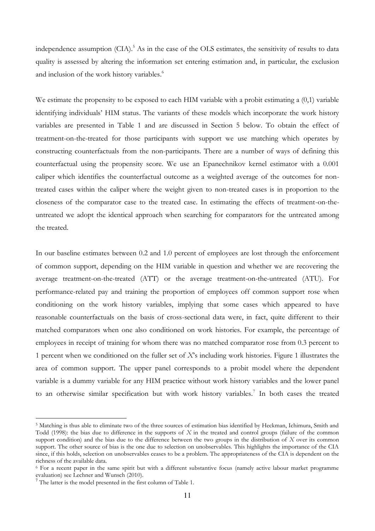independence assumption (CIA).<sup>5</sup> As in the case of the OLS estimates, the sensitivity of results to data quality is assessed by altering the information set entering estimation and, in particular, the exclusion and inclusion of the work history variables.<sup>6</sup>

We estimate the propensity to be exposed to each HIM variable with a probit estimating a  $(0,1)$  variable identifying individuals" HIM status. The variants of these models which incorporate the work history variables are presented in Table 1 and are discussed in Section 5 below. To obtain the effect of treatment-on-the-treated for those participants with support we use matching which operates by constructing counterfactuals from the non-participants. There are a number of ways of defining this counterfactual using the propensity score. We use an Epanechnikov kernel estimator with a 0.001 caliper which identifies the counterfactual outcome as a weighted average of the outcomes for nontreated cases within the caliper where the weight given to non-treated cases is in proportion to the closeness of the comparator case to the treated case. In estimating the effects of treatment-on-theuntreated we adopt the identical approach when searching for comparators for the untreated among the treated.

In our baseline estimates between 0.2 and 1.0 percent of employees are lost through the enforcement of common support, depending on the HIM variable in question and whether we are recovering the average treatment-on-the-treated (ATT) or the average treatment-on-the-untreated (ATU). For performance-related pay and training the proportion of employees off common support rose when conditioning on the work history variables, implying that some cases which appeared to have reasonable counterfactuals on the basis of cross-sectional data were, in fact, quite different to their matched comparators when one also conditioned on work histories. For example, the percentage of employees in receipt of training for whom there was no matched comparator rose from 0.3 percent to 1 percent when we conditioned on the fuller set of *X*"s including work histories. Figure 1 illustrates the area of common support. The upper panel corresponds to a probit model where the dependent variable is a dummy variable for any HIM practice without work history variables and the lower panel to an otherwise similar specification but with work history variables.<sup>7</sup> In both cases the treated

 $\overline{a}$ 

<sup>5</sup> Matching is thus able to eliminate two of the three sources of estimation bias identified by Heckman, Ichimura, Smith and Todd (1998): the bias due to difference in the supports of *X* in the treated and control groups (failure of the common support condition) and the bias due to the difference between the two groups in the distribution of *X* over its common support. The other source of bias is the one due to selection on unobservables. This highlights the importance of the CIA since, if this holds, selection on unobservables ceases to be a problem. The appropriateness of the CIA is dependent on the richness of the available data.

<sup>6</sup> For a recent paper in the same spirit but with a different substantive focus (namely active labour market programme evaluation) see Lechner and Wunsch (2010).

 $<sup>7</sup>$  The latter is the model presented in the first column of Table 1.</sup>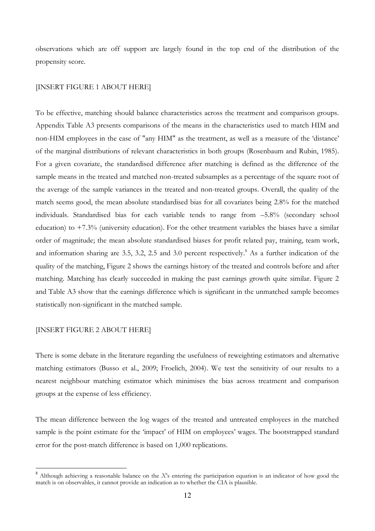observations which are off support are largely found in the top end of the distribution of the propensity score.

#### [INSERT FIGURE 1 ABOUT HERE]

To be effective, matching should balance characteristics across the treatment and comparison groups. Appendix Table A3 presents comparisons of the means in the characteristics used to match HIM and non-HIM employees in the case of "any HIM" as the treatment, as well as a measure of the "distance" of the marginal distributions of relevant characteristics in both groups (Rosenbaum and Rubin, 1985). For a given covariate, the standardised difference after matching is defined as the difference of the sample means in the treated and matched non-treated subsamples as a percentage of the square root of the average of the sample variances in the treated and non-treated groups. Overall, the quality of the match seems good, the mean absolute standardised bias for all covariates being 2.8% for the matched individuals. Standardised bias for each variable tends to range from –5.8% (secondary school education) to  $+7.3\%$  (university education). For the other treatment variables the biases have a similar order of magnitude; the mean absolute standardised biases for profit related pay, training, team work, and information sharing are 3.5, 3.2, 2.5 and 3.0 percent respectively.<sup>8</sup> As a further indication of the quality of the matching, Figure 2 shows the earnings history of the treated and controls before and after matching. Matching has clearly succeeded in making the past earnings growth quite similar. Figure 2 and Table A3 show that the earnings difference which is significant in the unmatched sample becomes statistically non-significant in the matched sample.

#### [INSERT FIGURE 2 ABOUT HERE]

 $\overline{a}$ 

There is some debate in the literature regarding the usefulness of reweighting estimators and alternative matching estimators (Busso et al., 2009; Froelich, 2004). We test the sensitivity of our results to a nearest neighbour matching estimator which minimises the bias across treatment and comparison groups at the expense of less efficiency.

The mean difference between the log wages of the treated and untreated employees in the matched sample is the point estimate for the 'impact' of HIM on employees' wages. The bootstrapped standard error for the post-match difference is based on 1,000 replications.

<sup>8</sup> Although achieving a reasonable balance on the *X*"s entering the participation equation is an indicator of how good the match is on observables, it cannot provide an indication as to whether the CIA is plausible.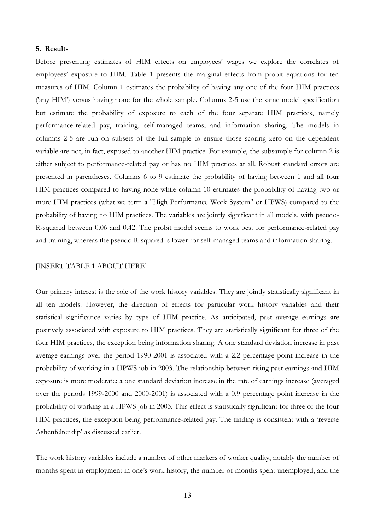#### **5. Results**

Before presenting estimates of HIM effects on employees' wages we explore the correlates of employees" exposure to HIM. Table 1 presents the marginal effects from probit equations for ten measures of HIM. Column 1 estimates the probability of having any one of the four HIM practices ('any HIM') versus having none for the whole sample. Columns 2-5 use the same model specification but estimate the probability of exposure to each of the four separate HIM practices, namely performance-related pay, training, self-managed teams, and information sharing. The models in columns 2-5 are run on subsets of the full sample to ensure those scoring zero on the dependent variable are not, in fact, exposed to another HIM practice. For example, the subsample for column 2 is either subject to performance-related pay or has no HIM practices at all. Robust standard errors are presented in parentheses. Columns 6 to 9 estimate the probability of having between 1 and all four HIM practices compared to having none while column 10 estimates the probability of having two or more HIM practices (what we term a "High Performance Work System" or HPWS) compared to the probability of having no HIM practices. The variables are jointly significant in all models, with pseudo-R-squared between 0.06 and 0.42. The probit model seems to work best for performance-related pay and training, whereas the pseudo R-squared is lower for self-managed teams and information sharing.

#### [INSERT TABLE 1 ABOUT HERE]

Our primary interest is the role of the work history variables. They are jointly statistically significant in all ten models. However, the direction of effects for particular work history variables and their statistical significance varies by type of HIM practice. As anticipated, past average earnings are positively associated with exposure to HIM practices. They are statistically significant for three of the four HIM practices, the exception being information sharing. A one standard deviation increase in past average earnings over the period 1990-2001 is associated with a 2.2 percentage point increase in the probability of working in a HPWS job in 2003. The relationship between rising past earnings and HIM exposure is more moderate: a one standard deviation increase in the rate of earnings increase (averaged over the periods 1999-2000 and 2000-2001) is associated with a 0.9 percentage point increase in the probability of working in a HPWS job in 2003. This effect is statistically significant for three of the four HIM practices, the exception being performance-related pay. The finding is consistent with a "reverse Ashenfelter dip" as discussed earlier.

The work history variables include a number of other markers of worker quality, notably the number of months spent in employment in one"s work history, the number of months spent unemployed, and the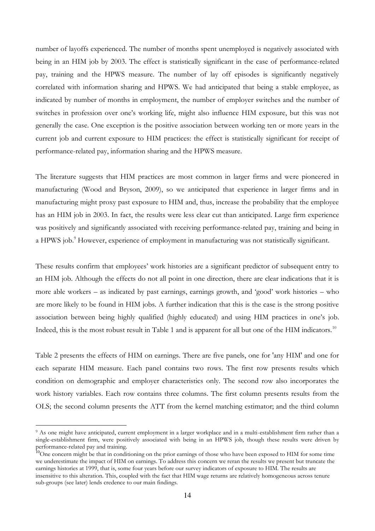number of layoffs experienced. The number of months spent unemployed is negatively associated with being in an HIM job by 2003. The effect is statistically significant in the case of performance-related pay, training and the HPWS measure. The number of lay off episodes is significantly negatively correlated with information sharing and HPWS. We had anticipated that being a stable employee, as indicated by number of months in employment, the number of employer switches and the number of switches in profession over one's working life, might also influence HIM exposure, but this was not generally the case. One exception is the positive association between working ten or more years in the current job and current exposure to HIM practices: the effect is statistically significant for receipt of performance-related pay, information sharing and the HPWS measure.

The literature suggests that HIM practices are most common in larger firms and were pioneered in manufacturing (Wood and Bryson, 2009), so we anticipated that experience in larger firms and in manufacturing might proxy past exposure to HIM and, thus, increase the probability that the employee has an HIM job in 2003. In fact, the results were less clear cut than anticipated. Large firm experience was positively and significantly associated with receiving performance-related pay, training and being in a HPWS job.<sup>9</sup> However, experience of employment in manufacturing was not statistically significant.

These results confirm that employees' work histories are a significant predictor of subsequent entry to an HIM job. Although the effects do not all point in one direction, there are clear indications that it is more able workers – as indicated by past earnings, earnings growth, and "good" work histories – who are more likely to be found in HIM jobs. A further indication that this is the case is the strong positive association between being highly qualified (highly educated) and using HIM practices in one"s job. Indeed, this is the most robust result in Table 1 and is apparent for all but one of the HIM indicators.<sup>10</sup>

Table 2 presents the effects of HIM on earnings. There are five panels, one for 'any HIM' and one for each separate HIM measure. Each panel contains two rows. The first row presents results which condition on demographic and employer characteristics only. The second row also incorporates the work history variables. Each row contains three columns. The first column presents results from the OLS; the second column presents the ATT from the kernel matching estimator; and the third column

 $\overline{a}$ 

<sup>9</sup> As one might have anticipated, current employment in a larger workplace and in a multi-establishment firm rather than a single-establishment firm, were positively associated with being in an HPWS job, though these results were driven by performance-related pay and training.

<sup>&</sup>lt;sup>10</sup>One concern might be that in conditioning on the prior earnings of those who have been exposed to HIM for some time we underestimate the impact of HIM on earnings. To address this concern we reran the results we present but truncate the earnings histories at 1999, that is, some four years before our survey indicators of exposure to HIM. The results are insensitive to this alteration. This, coupled with the fact that HIM wage returns are relatively homogeneous across tenure sub-groups (see later) lends credence to our main findings.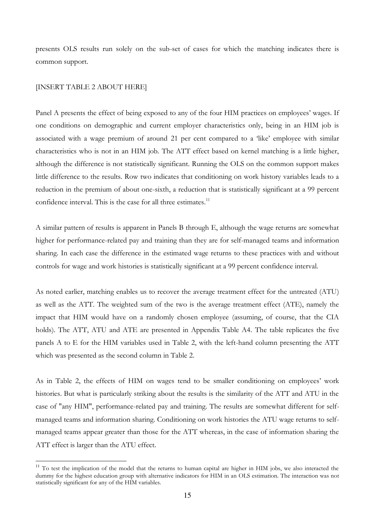presents OLS results run solely on the sub-set of cases for which the matching indicates there is common support.

#### [INSERT TABLE 2 ABOUT HERE]

 $\overline{a}$ 

Panel A presents the effect of being exposed to any of the four HIM practices on employees' wages. If one conditions on demographic and current employer characteristics only, being in an HIM job is associated with a wage premium of around 21 per cent compared to a "like" employee with similar characteristics who is not in an HIM job. The ATT effect based on kernel matching is a little higher, although the difference is not statistically significant. Running the OLS on the common support makes little difference to the results. Row two indicates that conditioning on work history variables leads to a reduction in the premium of about one-sixth, a reduction that is statistically significant at a 99 percent confidence interval. This is the case for all three estimates.<sup>11</sup>

A similar pattern of results is apparent in Panels B through E, although the wage returns are somewhat higher for performance-related pay and training than they are for self-managed teams and information sharing. In each case the difference in the estimated wage returns to these practices with and without controls for wage and work histories is statistically significant at a 99 percent confidence interval.

As noted earlier, matching enables us to recover the average treatment effect for the untreated (ATU) as well as the ATT. The weighted sum of the two is the average treatment effect (ATE), namely the impact that HIM would have on a randomly chosen employee (assuming, of course, that the CIA holds). The ATT, ATU and ATE are presented in Appendix Table A4. The table replicates the five panels A to E for the HIM variables used in Table 2, with the left-hand column presenting the ATT which was presented as the second column in Table 2.

As in Table 2, the effects of HIM on wages tend to be smaller conditioning on employees' work histories. But what is particularly striking about the results is the similarity of the ATT and ATU in the case of "any HIM", performance-related pay and training. The results are somewhat different for selfmanaged teams and information sharing. Conditioning on work histories the ATU wage returns to selfmanaged teams appear greater than those for the ATT whereas, in the case of information sharing the ATT effect is larger than the ATU effect.

<sup>&</sup>lt;sup>11</sup> To test the implication of the model that the returns to human capital are higher in HIM jobs, we also interacted the dummy for the highest education group with alternative indicators for HIM in an OLS estimation. The interaction was not statistically significant for any of the HIM variables.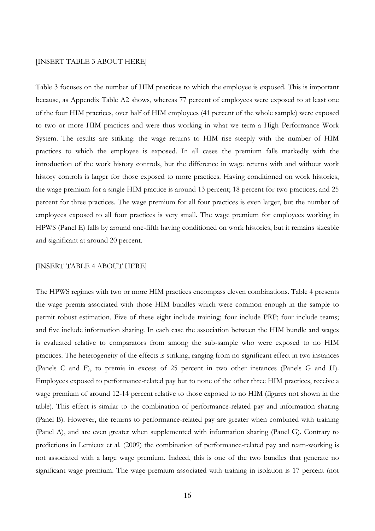#### [INSERT TABLE 3 ABOUT HERE]

Table 3 focuses on the number of HIM practices to which the employee is exposed. This is important because, as Appendix Table A2 shows, whereas 77 percent of employees were exposed to at least one of the four HIM practices, over half of HIM employees (41 percent of the whole sample) were exposed to two or more HIM practices and were thus working in what we term a High Performance Work System. The results are striking: the wage returns to HIM rise steeply with the number of HIM practices to which the employee is exposed. In all cases the premium falls markedly with the introduction of the work history controls, but the difference in wage returns with and without work history controls is larger for those exposed to more practices. Having conditioned on work histories, the wage premium for a single HIM practice is around 13 percent; 18 percent for two practices; and 25 percent for three practices. The wage premium for all four practices is even larger, but the number of employees exposed to all four practices is very small. The wage premium for employees working in HPWS (Panel E) falls by around one-fifth having conditioned on work histories, but it remains sizeable and significant at around 20 percent.

#### [INSERT TABLE 4 ABOUT HERE]

The HPWS regimes with two or more HIM practices encompass eleven combinations. Table 4 presents the wage premia associated with those HIM bundles which were common enough in the sample to permit robust estimation. Five of these eight include training; four include PRP; four include teams; and five include information sharing. In each case the association between the HIM bundle and wages is evaluated relative to comparators from among the sub-sample who were exposed to no HIM practices. The heterogeneity of the effects is striking, ranging from no significant effect in two instances (Panels C and F), to premia in excess of 25 percent in two other instances (Panels G and H). Employees exposed to performance-related pay but to none of the other three HIM practices, receive a wage premium of around 12-14 percent relative to those exposed to no HIM (figures not shown in the table). This effect is similar to the combination of performance-related pay and information sharing (Panel B). However, the returns to performance-related pay are greater when combined with training (Panel A), and are even greater when supplemented with information sharing (Panel G). Contrary to predictions in Lemieux et al. (2009) the combination of performance-related pay and team-working is not associated with a large wage premium. Indeed, this is one of the two bundles that generate no significant wage premium. The wage premium associated with training in isolation is 17 percent (not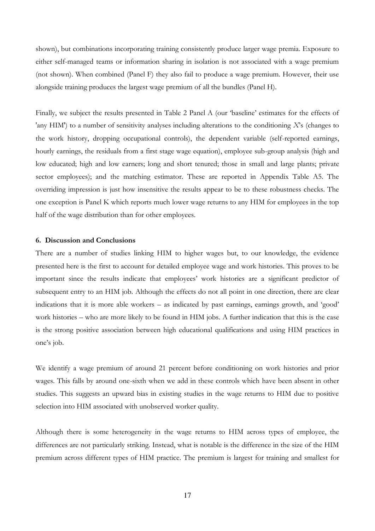shown), but combinations incorporating training consistently produce larger wage premia. Exposure to either self-managed teams or information sharing in isolation is not associated with a wage premium (not shown). When combined (Panel F) they also fail to produce a wage premium. However, their use alongside training produces the largest wage premium of all the bundles (Panel H).

Finally, we subject the results presented in Table 2 Panel A (our "baseline" estimates for the effects of 'any HIM') to a number of sensitivity analyses including alterations to the conditioning *X*"s (changes to the work history, dropping occupational controls), the dependent variable (self-reported earnings, hourly earnings, the residuals from a first stage wage equation), employee sub-group analysis (high and low educated; high and low earners; long and short tenured; those in small and large plants; private sector employees); and the matching estimator. These are reported in Appendix Table A5. The overriding impression is just how insensitive the results appear to be to these robustness checks. The one exception is Panel K which reports much lower wage returns to any HIM for employees in the top half of the wage distribution than for other employees.

#### **6. Discussion and Conclusions**

There are a number of studies linking HIM to higher wages but, to our knowledge, the evidence presented here is the first to account for detailed employee wage and work histories. This proves to be important since the results indicate that employees' work histories are a significant predictor of subsequent entry to an HIM job. Although the effects do not all point in one direction, there are clear indications that it is more able workers – as indicated by past earnings, earnings growth, and "good" work histories – who are more likely to be found in HIM jobs. A further indication that this is the case is the strong positive association between high educational qualifications and using HIM practices in one"s job.

We identify a wage premium of around 21 percent before conditioning on work histories and prior wages. This falls by around one-sixth when we add in these controls which have been absent in other studies. This suggests an upward bias in existing studies in the wage returns to HIM due to positive selection into HIM associated with unobserved worker quality.

Although there is some heterogeneity in the wage returns to HIM across types of employee, the differences are not particularly striking. Instead, what is notable is the difference in the size of the HIM premium across different types of HIM practice. The premium is largest for training and smallest for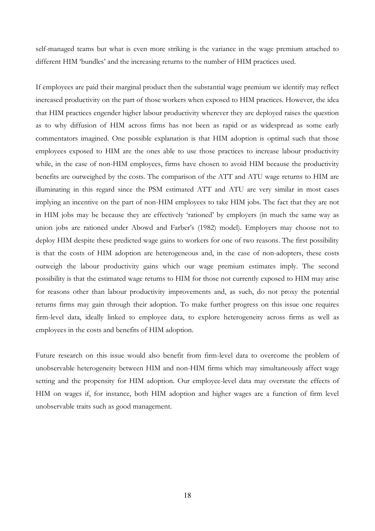self-managed teams but what is even more striking is the variance in the wage premium attached to different HIM "bundles" and the increasing returns to the number of HIM practices used.

If employees are paid their marginal product then the substantial wage premium we identify may reflect increased productivity on the part of those workers when exposed to HIM practices. However, the idea that HIM practices engender higher labour productivity wherever they are deployed raises the question as to why diffusion of HIM across firms has not been as rapid or as widespread as some early commentators imagined. One possible explanation is that HIM adoption is optimal such that those employees exposed to HIM are the ones able to use those practices to increase labour productivity while, in the case of non-HIM employees, firms have chosen to avoid HIM because the productivity benefits are outweighed by the costs. The comparison of the ATT and ATU wage returns to HIM are illuminating in this regard since the PSM estimated ATT and ATU are very similar in most cases implying an incentive on the part of non-HIM employees to take HIM jobs. The fact that they are not in HIM jobs may be because they are effectively "rationed" by employers (in much the same way as union jobs are rationed under Abowd and Farber"s (1982) model). Employers may choose not to deploy HIM despite these predicted wage gains to workers for one of two reasons. The first possibility is that the costs of HIM adoption are heterogeneous and, in the case of non-adopters, these costs outweigh the labour productivity gains which our wage premium estimates imply. The second possibility is that the estimated wage returns to HIM for those not currently exposed to HIM may arise for reasons other than labour productivity improvements and, as such, do not proxy the potential returns firms may gain through their adoption. To make further progress on this issue one requires firm-level data, ideally linked to employee data, to explore heterogeneity across firms as well as employees in the costs and benefits of HIM adoption.

Future research on this issue would also benefit from firm-level data to overcome the problem of unobservable heterogeneity between HIM and non-HIM firms which may simultaneously affect wage setting and the propensity for HIM adoption. Our employee-level data may overstate the effects of HIM on wages if, for instance, both HIM adoption and higher wages are a function of firm level unobservable traits such as good management.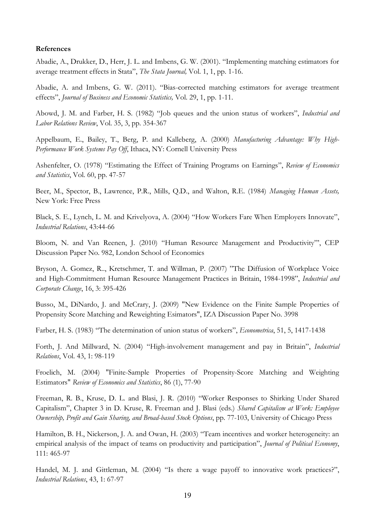#### **References**

Abadie, A., Drukker, D., Herr, J. L. and Imbens, G. W. (2001). "Implementing matching estimators for average treatment effects in Stata", *The Stata Journal,* Vol. 1, 1, pp. 1-16.

Abadie, A. and Imbens, G. W. (2011). "Bias-corrected matching estimators for average treatment effects", *Journal of Business and Economic Statistics,* Vol. 29, 1, pp. 1-11.

Abowd, J. M. and Farber, H. S. (1982) "Job queues and the union status of workers", *Industrial and Labor Relations Review*, Vol. 35, 3, pp. 354-367

Appelbaum, E., Bailey, T., Berg, P. and Kalleberg, A. (2000) *Manufacturing Advantage: Why High-Performance Work Systems Pay Off*, Ithaca, NY: Cornell University Press

Ashenfelter, O. (1978) "Estimating the Effect of Training Programs on Earnings", *Review of Economics and Statistics*, Vol. 60, pp. 47-57

Beer, M., Spector, B., Lawrence, P.R., Mills, Q.D., and Walton, R.E. (1984) *Managing Human Assets,* New York: Free Press

Black, S. E., Lynch, L. M. and Krivelyova, A. (2004) "How Workers Fare When Employers Innovate", *Industrial Relations*, 43:44-66

Bloom, N. and Van Reenen, J. (2010) "Human Resource Management and Productivity"", CEP Discussion Paper No. 982, London School of Economics

Bryson, A. Gomez, R.., Kretschmer, T. and Willman, P. (2007) "The Diffusion of Workplace Voice and High-Commitment Human Resource Management Practices in Britain, 1984-1998", *Industrial and Corporate Change*, 16, 3: 395-426

Busso, M., DiNardo, J. and McCrary, J. (2009) "New Evidence on the Finite Sample Properties of Propensity Score Matching and Reweighting Esimators", IZA Discussion Paper No. 3998

Farber, H. S. (1983) "The determination of union status of workers", *Econometrica*, 51, 5, 1417-1438

Forth, J. And Millward, N. (2004) "High-involvement management and pay in Britain", *Industrial Relations*, Vol. 43, 1: 98-119

Froelich, M. (2004) "Finite-Sample Properties of Propensity-Score Matching and Weighting Estimators" *Review of Economics and Statistics*, 86 (1), 77-90

Freeman, R. B., Kruse, D. L. and Blasi, J. R. (2010) "Worker Responses to Shirking Under Shared Capitalism", Chapter 3 in D. Kruse, R. Freeman and J. Blasi (eds.) *Shared Capitalism at Work: Employee Ownership, Profit and Gain Sharing, and Broad-based Stock Options*, pp. 77-103, University of Chicago Press

Hamilton, B. H., Nickerson, J. A. and Owan, H. (2003) "Team incentives and worker heterogeneity: an empirical analysis of the impact of teams on productivity and participation", *Journal of Political Economy*, 111: 465-97

Handel, M. J. and Gittleman, M. (2004) "Is there a wage payoff to innovative work practices?", *Industrial Relations*, 43, 1: 67-97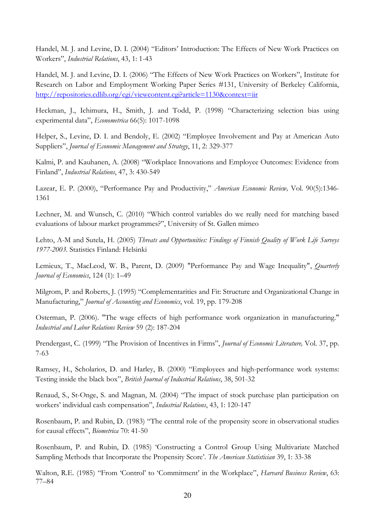Handel, M. J. and Levine, D. I. (2004) "Editors" Introduction: The Effects of New Work Practices on Workers", *Industrial Relations*, 43, 1: 1-43

Handel, M. J. and Levine, D. I. (2006) "The Effects of New Work Practices on Workers", Institute for Research on Labor and Employment Working Paper Series #131, University of Berkeley California, <http://repositories.cdlib.org/cgi/viewcontent.cgi?article=1130&context=iir>

Heckman, J., Ichimura, H., Smith, J. and Todd, P. (1998) "Characterizing selection bias using experimental data", *Econometrica* 66(5): 1017-1098

Helper, S., Levine, D. I. and Bendoly, E. (2002) "Employee Involvement and Pay at American Auto Suppliers", *Journal of Economic Management and Strategy*, 11, 2: 329-377

Kalmi, P. and Kauhanen, A. (2008) "Workplace Innovations and Employee Outcomes: Evidence from Finland", *Industrial Relations*, 47, 3: 430-549

Lazear, E. P. (2000), "Performance Pay and Productivity," *American Economic Review,* Vol. 90(5):1346- 1361

Lechner, M. and Wunsch, C. (2010) "Which control variables do we really need for matching based evaluations of labour market programmes?", University of St. Gallen mimeo

Lehto, A-M and Sutela, H. (2005) *Threats and Opportunities: Findings of Finnish Quality of Work Life Surveys 1977-2003*. Statistics Finland: Helsinki

Lemieux, T., MacLeod, W. B., Parent, D. (2009) "Performance Pay and Wage Inequality", *Quarterly Journal of Economics*, 124 (1): 1–49

Milgrom, P. and Roberts, J. (1995) "Complementarities and Fit: Structure and Organizational Change in Manufacturing," *Journal of Accounting and Economics*, vol. 19, pp. 179-208

Osterman, P. (2006). "The wage effects of high performance work organization in manufacturing." *Industrial and Labor Relations Review* 59 (2): 187-204

Prendergast, C. (1999) "The Provision of Incentives in Firms", *Journal of Economic Literature,* Vol. 37, pp. 7-63

Ramsey, H., Scholarios, D. and Harley, B. (2000) "Employees and high-performance work systems: Testing inside the black box", *British Journal of Industrial Relations*, 38, 501-32

Renaud, S., St-Onge, S. and Magnan, M. (2004) "The impact of stock purchase plan participation on workers" individual cash compensation", *Industrial Relations*, 43, 1: 120-147

Rosenbaum, P. and Rubin, D. (1983) "The central role of the propensity score in observational studies for causal effects", *Biometrica* 70: 41-50

Rosenbaum, P. and Rubin, D. (1985) "Constructing a Control Group Using Multivariate Matched Sampling Methods that Incorporate the Propensity Score". *The American Statistician* 39, 1: 33-38

Walton, R.E. (1985) "From "Control" to "Commitment" in the Workplace", *Harvard Business Review*, 63: 77–84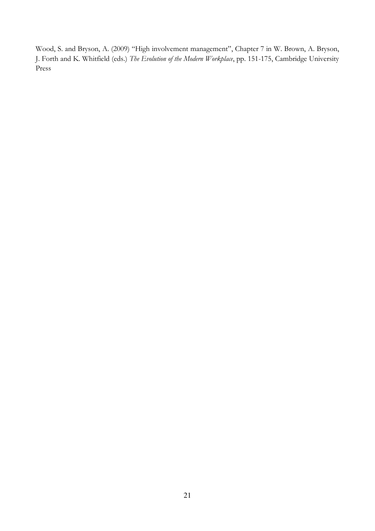Wood, S. and Bryson, A. (2009) "High involvement management", Chapter 7 in W. Brown, A. Bryson, J. Forth and K. Whitfield (eds.) *The Evolution of the Modern Workplace*, pp. 151-175, Cambridge University Press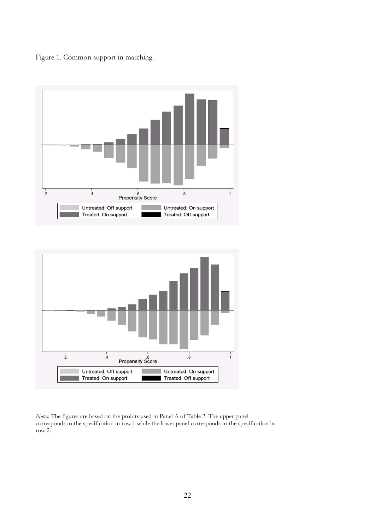Figure 1. Common support in matching.





*Notes:* The figures are based on the probits used in Panel A of Table 2. The upper panel corresponds to the specification in row 1 while the lower panel corresponds to the specification in row 2.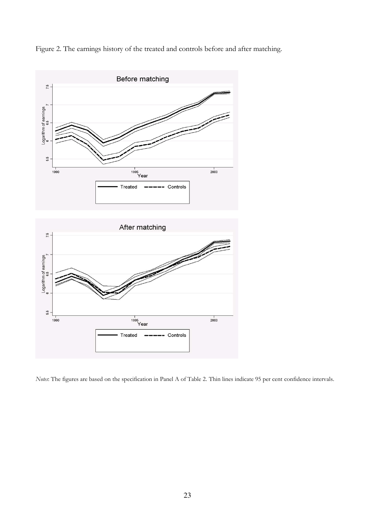

 $\begin{array}{c}\n1 \\
1995 \\
Year\n\end{array}$ 

Treated

 $5.5$ 

 $1990$ 

Figure 2. The earnings history of the treated and controls before and after matching.

*Notes*: The figures are based on the specification in Panel A of Table 2. Thin lines indicate 95 per cent confidence intervals.

Controls

 $2000$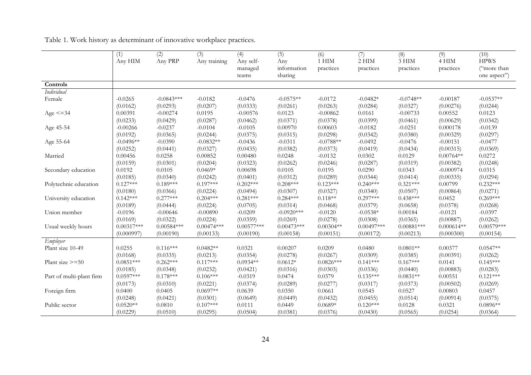|                          | (1)<br>Any HIM | (2)<br>Any PRP | (3)<br>Any training | (4)<br>Any self-<br>managed<br>teams | (5)<br>Any<br>information<br>sharing | (6)<br>1 HIM<br>practices | (7)<br>2 HIM<br>practices | (8)<br>$3$ $\rm HIM$<br>practices | (9)<br>4 HIM<br>practices | (10)<br><b>HPWS</b><br>("more than<br>one aspect") |
|--------------------------|----------------|----------------|---------------------|--------------------------------------|--------------------------------------|---------------------------|---------------------------|-----------------------------------|---------------------------|----------------------------------------------------|
| Controls                 |                |                |                     |                                      |                                      |                           |                           |                                   |                           |                                                    |
| Individual               |                |                |                     |                                      |                                      |                           |                           |                                   |                           |                                                    |
| Female                   | $-0.0265$      | $-0.0843***$   | $-0.0182$           | $-0.0476$                            | $-0.0575**$                          | $-0.0172$                 | $-0.0482*$                | $-0.0748**$                       | $-0.00187$                | $-0.0537**$                                        |
|                          | (0.0162)       | (0.0293)       | (0.0207)            | (0.0333)                             | (0.0261)                             | (0.0263)                  | (0.0284)                  | (0.0327)                          | (0.00276)                 | (0.0244)                                           |
| Age $\leq$ = 34          | 0.00391        | $-0.00274$     | 0.0195              | $-0.00576$                           | 0.0123                               | $-0.00862$                | 0.0161                    | $-0.00733$                        | 0.00552                   | 0.0123                                             |
|                          | (0.0233)       | (0.0429)       | (0.0287)            | (0.0462)                             | (0.0371)                             | (0.0378)                  | (0.0399)                  | (0.0461)                          | (0.00629)                 | (0.0342)                                           |
| Age 45-54                | $-0.00266$     | $-0.0237$      | $-0.0104$           | $-0.0105$                            | 0.00970                              | 0.00603                   | $-0.0182$                 | $-0.0251$                         | 0.000178                  | $-0.0139$                                          |
|                          | (0.0192)       | (0.0365)       | (0.0244)            | (0.0375)                             | (0.0315)                             | (0.0298)                  | (0.0342)                  | (0.0380)                          | (0.00329)                 | (0.0297)                                           |
| Age 55-64                | $-0.0496**$    | $-0.0390$      | $-0.0832**$         | $-0.0436$                            | $-0.0311$                            | $-0.0788**$               | $-0.0492$                 | $-0.0476$                         | $-0.00151$                | $-0.0477$                                          |
|                          | (0.0252)       | (0.0441)       | (0.0327)            | (0.0435)                             | (0.0382)                             | (0.0373)                  | (0.0419)                  | (0.0434)                          | (0.00315)                 | (0.0369)                                           |
| Married                  | 0.00456        | 0.0258         | 0.00852             | 0.00480                              | 0.0248                               | $-0.0132$                 | 0.0302                    | 0.0129                            | $0.00764**$               | 0.0272                                             |
|                          | (0.0159)       | (0.0301)       | (0.0204)            | (0.0323)                             | (0.0262)                             | (0.0246)                  | (0.0287)                  | (0.0319)                          | (0.00382)                 | (0.0248)                                           |
| Secondary education      | 0.0192         | 0.0105         | $0.0469*$           | 0.00698                              | 0.0105                               | 0.0195                    | 0.0290                    | 0.0343                            | $-0.000974$               | 0.0315                                             |
|                          | (0.0185)       | (0.0340)       | (0.0242)            | (0.0401)                             | (0.0312)                             | (0.0289)                  | (0.0344)                  | (0.0414)                          | (0.00335)                 | (0.0294)                                           |
| Polytechnic education    | $0.127***$     | $0.189***$     | $0.197***$          | $0.202***$                           | $0.208***$                           | $0.123***$                | $0.240***$                | $0.321***$                        | 0.00799                   | $0.232***$                                         |
|                          | (0.0180)       | (0.0366)       | (0.0224)            | (0.0494)                             | (0.0307)                             | (0.0327)                  | (0.0340)                  | (0.0507)                          | (0.00864)                 | (0.0271)                                           |
| University education     | $0.142***$     | $0.277***$     | $0.204***$          | $0.281***$                           | $0.284***$                           | $0.118**$                 | $0.297***$                | $0.438***$                        | 0.0452                    | $0.269***$                                         |
|                          | (0.0189)       | (0.0444)       | (0.0224)            | (0.0705)                             | (0.0314)                             | (0.0468)                  | (0.0379)                  | (0.0658)                          | (0.0378)                  | (0.0268)                                           |
| Union member             | $-0.0196$      | $-0.00646$     | $-0.00890$          | $-0.0209$                            | $-0.0920***$                         | $-0.0120$                 | $-0.0538*$                | 0.00184                           | $-0.0121$                 | $-0.0397$                                          |
|                          | (0.0169)       | (0.0322)       | (0.0224)            | (0.0359)                             | (0.0269)                             | (0.0278)                  | (0.0308)                  | (0.0365)                          | (0.00887)                 | (0.0262)                                           |
| Usual weekly hours       | $0.00317***$   | $0.00584***$   | $0.00474***$        | $0.00577***$                         | $0.00473***$                         | $0.00304**$               | $0.00497***$              | $0.00881***$                      | $0.000614**$              | $0.00579***$                                       |
|                          | (0.000997)     | (0.00190)      | (0.00133)           | (0.00190)                            | (0.00158)                            | (0.00151)                 | (0.00172)                 | (0.00213)                         | (0.000300)                | (0.00154)                                          |
| Employer                 |                |                |                     |                                      |                                      |                           |                           |                                   |                           |                                                    |
| Plant size 10-49         | 0.0255         | $0.116***$     | $0.0482**$          | 0.0321                               | 0.00207                              | 0.0209                    | 0.0480                    | $0.0801**$                        | 0.00377                   | $0.0547**$                                         |
|                          | (0.0168)       | (0.0335)       | (0.0213)            | (0.0354)                             | (0.0278)                             | (0.0267)                  | (0.0309)                  | (0.0385)                          | (0.00391)                 | (0.0262)                                           |
| Plant size $>=50$        | $0.0851***$    | $0.262***$     | $0.117***$          | $0.0934**$                           | $0.0612*$                            | $0.0826***$               | $0.141***$                | $0.167***$                        | 0.0141                    | $0.145***$                                         |
|                          | (0.0185)       | (0.0348)       | (0.0232)            | (0.0421)                             | (0.0316)                             | (0.0303)                  | (0.0336)                  | (0.0440)                          | (0.00883)                 | (0.0283)                                           |
| Part of multi-plant firm | $0.0597***$    | $0.178***$     | $0.106***$          | $-0.0319$                            | 0.0474                               | 0.0379                    | $0.135***$                | $0.0831**$                        | 0.00551                   | $0.121***$                                         |
|                          | (0.0173)       | (0.0310)       | (0.0221)            | (0.0374)                             | (0.0289)                             | (0.0277)                  | (0.0317)                  | (0.0373)                          | (0.00502)                 | (0.0269)                                           |
| Foreign firm             | 0.0400         | 0.0405         | $0.0697**$          | 0.0639                               | 0.0350                               | 0.0661                    | 0.0545                    | 0.0527                            | 0.00803                   | 0.0457                                             |
|                          | (0.0248)       | (0.0421)       | (0.0301)            | (0.0649)                             | (0.0449)                             | (0.0432)                  | (0.0455)                  | (0.0514)                          | (0.00914)                 | (0.0375)                                           |
| Public sector            | $0.0520**$     | 0.0810         | $0.107***$          | 0.0111                               | 0.0449                               | $0.0689*$                 | $0.120***$                | 0.0128                            | 0.0321                    | $0.0896**$                                         |
|                          | (0.0229)       | (0.0510)       | (0.0295)            | (0.0504)                             | (0.0381)                             | (0.0376)                  | (0.0430)                  | (0.0565)                          | (0.0254)                  | (0.0364)                                           |

Table 1. Work history as determinant of innovative workplace practices.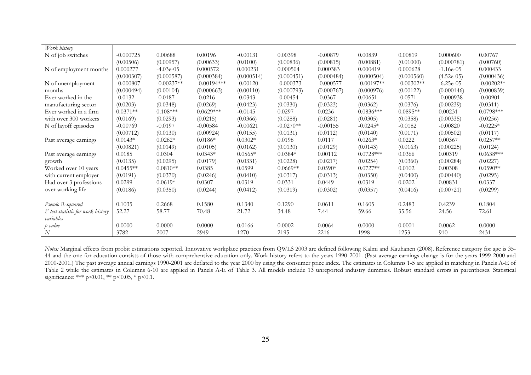| Work history                      |             |              |               |            |             |             |              |              |              |              |
|-----------------------------------|-------------|--------------|---------------|------------|-------------|-------------|--------------|--------------|--------------|--------------|
| N of job switches                 | $-0.000725$ | 0.00688      | 0.00196       | $-0.00131$ | 0.00398     | $-0.00879$  | 0.00839      | 0.00819      | 0.000600     | 0.00767      |
|                                   | (0.00506)   | (0.00957)    | (0.00633)     | (0.0100)   | (0.00836)   | (0.00815)   | (0.00881)    | (0.01000)    | (0.000781)   | (0.00760)    |
| N of employment months            | 0.000277    | $-4.03e-05$  | 0.000572      | 0.000231   | 0.000504    | 0.000383    | 0.000419     | 0.000628     | $-1.16e-05$  | 0.000433     |
|                                   | (0.000307)  | (0.000587)   | (0.000384)    | (0.000514) | (0.000451)  | (0.000484)  | (0.000504)   | (0.000560)   | $(4.52e-05)$ | (0.000436)   |
| N of unemployment                 | $-0.000807$ | $-0.00237**$ | $-0.00194***$ | $-0.00120$ | $-0.000373$ | $-0.000577$ | $-0.00197**$ | $-0.00302**$ | $-6.25e-05$  | $-0.00202**$ |
| months                            | (0.000494)  | (0.00104)    | (0.000663)    | (0.00110)  | (0.000793)  | (0.000767)  | (0.000976)   | (0.00122)    | (0.000146)   | (0.000839)   |
| Ever worked in the                | $-0.0132$   | $-0.0187$    | $-0.0216$     | $-0.0343$  | $-0.00454$  | $-0.0367$   | 0.00651      | $-0.0571$    | $-0.000938$  | $-0.00901$   |
| manufacturing sector              | (0.0203)    | (0.0348)     | (0.0269)      | (0.0423)   | (0.0330)    | (0.0323)    | (0.0362)     | (0.0376)     | (0.00239)    | (0.0311)     |
| Ever worked in a firm             | $0.0371**$  | $0.108***$   | $0.0629***$   | $-0.0145$  | 0.0297      | 0.0236      | $0.0836***$  | $0.0895**$   | 0.00231      | $0.0798***$  |
| with over 300 workers             | (0.0169)    | (0.0293)     | (0.0215)      | (0.0366)   | (0.0288)    | (0.0281)    | (0.0305)     | (0.0358)     | (0.00335)    | (0.0256)     |
| N of layoff episodes              | $-0.00769$  | $-0.0197$    | $-0.00584$    | $-0.00621$ | $-0.0270**$ | $-0.00155$  | $-0.0245*$   | $-0.0182$    | $-0.00820$   | $-0.0225*$   |
|                                   | (0.00712)   | (0.0130)     | (0.00924)     | (0.0155)   | (0.0131)    | (0.0112)    | (0.0140)     | (0.0171)     | (0.00502)    | (0.0117)     |
| Past average earnings             | $0.0143*$   | $0.0282*$    | $0.0186*$     | $0.0302*$  | 0.0198      | 0.0117      | $0.0263*$    | 0.0222       | 0.00367      | $0.0257**$   |
|                                   | (0.00821)   | (0.0149)     | (0.0105)      | (0.0162)   | (0.0130)    | (0.0129)    | (0.0143)     | (0.0163)     | (0.00225)    | (0.0124)     |
| Past average earnings             | 0.0185      | 0.0304       | $0.0343*$     | $0.0565*$  | $0.0384*$   | 0.00112     | $0.0728***$  | 0.0366       | 0.00319      | $0.0638***$  |
| growth                            | (0.0135)    | (0.0295)     | (0.0179)      | (0.0331)   | (0.0228)    | (0.0217)    | (0.0254)     | (0.0360)     | (0.00284)    | (0.0227)     |
| Worked over 10 years              | $0.0455**$  | $0.0810**$   | 0.0385        | 0.0599     | $0.0669**$  | $0.0590*$   | $0.0727**$   | 0.0102       | 0.00308      | $0.0590**$   |
| with current employer             | (0.0191)    | (0.0370)     | (0.0246)      | (0.0410)   | (0.0317)    | (0.0313)    | (0.0350)     | (0.0400)     | (0.00440)    | (0.0295)     |
| Had over 3 professions            | 0.0299      | $0.0619*$    | 0.0307        | 0.0319     | 0.0331      | 0.0449      | 0.0319       | 0.0202       | 0.00831      | 0.0337       |
| over working life                 | (0.0186)    | (0.0350)     | (0.0244)      | (0.0412)   | (0.0319)    | (0.0302)    | (0.0357)     | (0.0416)     | (0.00721)    | (0.0299)     |
|                                   |             |              |               |            |             |             |              |              |              |              |
| Pseudo R-squared                  | 0.1035      | 0.2668       | 0.1580        | 0.1340     | 0.1290      | 0.0611      | 0.1605       | 0.2483       | 0.4239       | 0.1804       |
| F-test statistic for work history | 52.27       | 58.77        | 70.48         | 21.72      | 34.48       | 7.44        | 59.66        | 35.56        | 24.56        | 72.61        |
| variables                         |             |              |               |            |             |             |              |              |              |              |
| p-value                           | 0.0000      | 0.0000       | 0.0000        | 0.0166     | 0.0002      | 0.0064      | 0.0000       | 0.0001       | 0.0062       | 0.0000       |
| N                                 | 3782        | 2007         | 2949          | 1270       | 2195        | 2216        | 1998         | 1253         | 910          | 2431         |

*Notes:* Marginal effects from probit estimations reported. Innovative workplace practices from QWLS 2003 are defined following Kalmi and Kauhanen (2008). Reference category for age is 35-44 and the one for education consists of those with comprehensive education only. Work history refers to the years 1990-2001. (Past average earnings change is for the years 1999-2000 and 2000-2001.) The past average annual earnings 1990-2001 are deflated to the year 2000 by using the consumer price index. The estimates in Columns 1-5 are applied in matching in Panels A-E of Table 2 while the estimates in Columns 6-10 are applied in Panels A-E of Table 3. All models include 13 unreported industry dummies. Robust standard errors in parentheses. Statistical significance: \*\*\* p<0.01, \*\* p<0.05, \* p<0.1.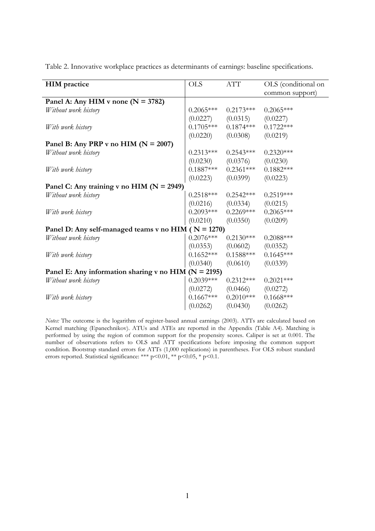Table 2. Innovative workplace practices as determinants of earnings: baseline specifications.

j.

| <b>HIM</b> practice                                      | <b>OLS</b>  | <b>ATT</b>  | OLS (conditional on |
|----------------------------------------------------------|-------------|-------------|---------------------|
|                                                          |             |             | common support)     |
| Panel A: Any HIM v none ( $N = 3782$ )                   |             |             |                     |
| Without work history                                     | $0.2065***$ | $0.2173***$ | $0.2065***$         |
|                                                          | (0.0227)    | (0.0315)    | (0.0227)            |
| With work history                                        | $0.1705***$ | $0.1874***$ | $0.1722***$         |
|                                                          | (0.0220)    | (0.0308)    | (0.0219)            |
| Panel B: Any PRP v no HIM ( $N = 2007$ )                 |             |             |                     |
| Without work history                                     | $0.2313***$ | $0.2543***$ | $0.2320***$         |
|                                                          | (0.0230)    | (0.0376)    | (0.0230)            |
| With work history                                        | $0.1887***$ | $0.2361***$ | $0.1882***$         |
|                                                          | (0.0223)    | (0.0399)    | (0.0223)            |
| Panel C: Any training v no HIM ( $N = 2949$ )            |             |             |                     |
| Without work history                                     | $0.2518***$ | $0.2542***$ | $0.2519***$         |
|                                                          | (0.0216)    | (0.0334)    | (0.0215)            |
| With work history                                        | $0.2093***$ | $0.2269***$ | $0.2065***$         |
|                                                          | (0.0210)    | (0.0350)    | (0.0209)            |
| Panel D: Any self-managed teams v no HIM ( $N = 1270$ )  |             |             |                     |
| Without work history                                     | $0.2076***$ | $0.2130***$ | $0.2088***$         |
|                                                          | (0.0353)    | (0.0602)    | (0.0352)            |
| With work history                                        | $0.1652***$ | $0.1588***$ | $0.1645***$         |
|                                                          | (0.0340)    | (0.0610)    | (0.0339)            |
| Panel E: Any information sharing v no HIM ( $N = 2195$ ) |             |             |                     |
| Without work history                                     | $0.2039***$ | $0.2312***$ | $0.2021***$         |
|                                                          | (0.0272)    | (0.0466)    | (0.0272)            |
| With work history                                        | $0.1667***$ | $0.2010***$ | $0.1668***$         |
|                                                          | (0.0262)    | (0.0430)    | (0.0262)            |

*Notes:* The outcome is the logarithm of register-based annual earnings (2003). ATTs are calculated based on Kernel matching (Epanechnikov). ATUs and ATEs are reported in the Appendix (Table A4). Matching is performed by using the region of common support for the propensity scores. Caliper is set at 0.001. The number of observations refers to OLS and ATT specifications before imposing the common support condition. Bootstrap standard errors for ATTs (1,000 replications) in parentheses. For OLS robust standard errors reported. Statistical significance: \*\*\* p<0.01, \*\* p<0.05, \* p<0.1.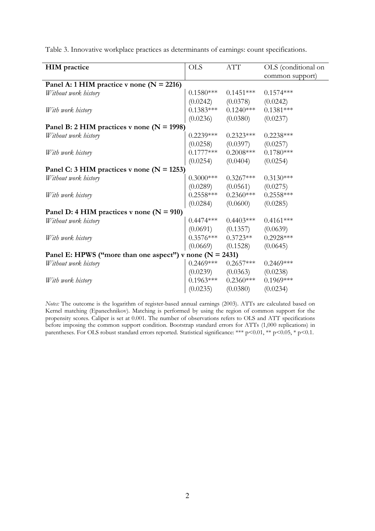Table 3. Innovative workplace practices as determinants of earnings: count specifications.

| <b>HIM</b> practice                                          | <b>OLS</b>   | ATT         | OLS (conditional on |
|--------------------------------------------------------------|--------------|-------------|---------------------|
|                                                              |              |             | common support)     |
| Panel A: 1 HIM practice v none ( $N = 2216$ )                |              |             |                     |
| Without work history                                         | $0.1580***$  | $0.1451***$ | $0.1574***$         |
|                                                              | (0.0242)     | (0.0378)    | (0.0242)            |
| With work history                                            | $0.1383***$  | $0.1240***$ | $0.1381***$         |
|                                                              | (0.0236)     | (0.0380)    | (0.0237)            |
| Panel B: 2 HIM practices v none ( $N = 1998$ )               |              |             |                     |
| Without work history                                         | $0.2239***$  | $0.2323***$ | $0.2238***$         |
|                                                              | (0.0258)     | (0.0397)    | (0.0257)            |
| With work history                                            | $0.1777***$  | $0.2008***$ | $0.1780***$         |
|                                                              | (0.0254)     | (0.0404)    | (0.0254)            |
| Panel C: 3 HIM practices v none ( $N = 1253$ )               |              |             |                     |
| Without work history                                         | $0.3000$ *** | $0.3267***$ | $0.3130***$         |
|                                                              | (0.0289)     | (0.0561)    | (0.0275)            |
| With work history                                            | $0.2558***$  | $0.2360***$ | $0.2558***$         |
|                                                              | (0.0284)     | (0.0600)    | (0.0285)            |
| Panel D: 4 HIM practices v none ( $N = 910$ )                |              |             |                     |
| Without work history                                         | $0.4474***$  | $0.4403***$ | $0.4161***$         |
|                                                              | (0.0691)     | (0.1357)    | (0.0639)            |
| With work history                                            | $0.3576***$  | $0.3723**$  | $0.2928***$         |
|                                                              | (0.0669)     | (0.1528)    | (0.0645)            |
| Panel E: HPWS ("more than one aspect") v none ( $N = 2431$ ) |              |             |                     |
| Without work history                                         | $0.2469***$  | $0.2657***$ | $0.2469***$         |
|                                                              | (0.0239)     | (0.0363)    | (0.0238)            |
| With work history                                            | $0.1963***$  | $0.2360***$ | $0.1969***$         |
|                                                              | (0.0235)     | (0.0380)    | (0.0234)            |

*Notes:* The outcome is the logarithm of register-based annual earnings (2003). ATTs are calculated based on Kernel matching (Epanechnikov). Matching is performed by using the region of common support for the propensity scores. Caliper is set at 0.001. The number of observations refers to OLS and ATT specifications before imposing the common support condition. Bootstrap standard errors for ATTs (1,000 replications) in parentheses. For OLS robust standard errors reported. Statistical significance: \*\*\* p<0.01, \*\* p<0.05, \* p<0.1.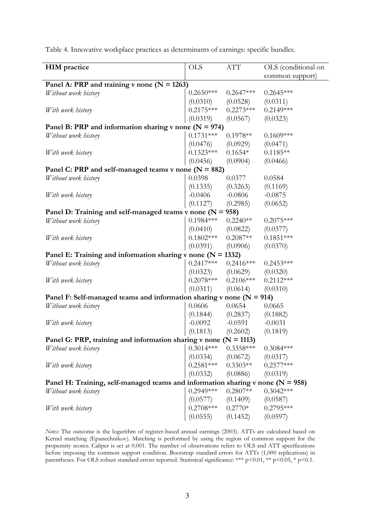Table 4. Innovative workplace practices as determinants of earnings: specific bundles.

| <b>HIM</b> practice                                                                | <b>OLS</b>  | <b>ATT</b>  | OLS (conditional on |
|------------------------------------------------------------------------------------|-------------|-------------|---------------------|
|                                                                                    |             |             | common support)     |
| Panel A: PRP and training v none ( $N = 1263$ )                                    |             |             |                     |
| Without work history                                                               | $0.2650***$ | $0.2647***$ | $0.2645***$         |
|                                                                                    | (0.0310)    | (0.0528)    | (0.0311)            |
| With work history                                                                  | $0.2175***$ | $0.2273***$ | $0.2149***$         |
|                                                                                    | (0.0319)    | (0.0567)    | (0.0323)            |
| Panel B: PRP and information sharing v none ( $N = 974$ )                          |             |             |                     |
| Without work history                                                               | $0.1731***$ | $0.1978**$  | $0.1609***$         |
|                                                                                    | (0.0476)    | (0.0929)    | (0.0471)            |
| With work history                                                                  | $0.1323***$ | $0.1654*$   | $0.1185**$          |
|                                                                                    | (0.0456)    | (0.0904)    | (0.0466)            |
| Panel C: PRP and self-managed teams v none ( $N = 882$ )                           |             |             |                     |
| Without work history                                                               | 0.0398      | 0.0377      | 0.0584              |
|                                                                                    | (0.1335)    | (0.3263)    | (0.1169)            |
| With work history                                                                  | $-0.0406$   | $-0.0806$   | $-0.0875$           |
|                                                                                    | (0.1127)    | (0.2985)    | (0.0652)            |
| Panel D: Training and self-managed teams v none ( $N = 958$ )                      |             |             |                     |
| Without work history                                                               | $0.1984***$ | $0.2240**$  | $0.2075***$         |
|                                                                                    | (0.0410)    | (0.0822)    | (0.0377)            |
| With work history                                                                  | $0.1802***$ | $0.2087**$  | $0.1851***$         |
|                                                                                    | (0.0391)    | (0.0906)    | (0.0370)            |
| Panel E: Training and information sharing v none ( $N = 1332$ )                    |             |             |                     |
| Without work history                                                               | $0.2417***$ | $0.2416***$ | $0.2453***$         |
|                                                                                    | (0.0323)    | (0.0629)    | (0.0320)            |
| With work history                                                                  | $0.2078***$ | $0.2106***$ | $0.2112***$         |
|                                                                                    | (0.0311)    | (0.0614)    | (0.0310)            |
| Panel F: Self-managed teams and information sharing v none $(N = 914)$             |             |             |                     |
| Without work history                                                               | 0.0606      | 0.0654      | 0.0665              |
|                                                                                    | (0.1844)    | (0.2837)    | (0.1882)            |
| With work history                                                                  | $-0.0092$   | $-0.0591$   | $-0.0031$           |
|                                                                                    | (0.1813)    | (0.2602)    | (0.1819)            |
| Panel G: PRP, training and information sharing v none ( $N = 1113$ )               |             |             |                     |
| Without work history                                                               | $0.3014***$ | $0.3358***$ | $0.3084***$         |
|                                                                                    | (0.0334)    | (0.0672)    | (0.0317)            |
| With work history                                                                  | $0.2581***$ | $0.3303**$  | $0.2577***$         |
|                                                                                    | (0.0332)    | (0.0886)    | (0.0319)            |
| Panel H: Training, self-managed teams and information sharing v none ( $N = 958$ ) |             |             |                     |
| Without work history                                                               | $0.2949***$ | $0.2807**$  | $0.3042***$         |
|                                                                                    | (0.0577)    | (0.1409)    | (0.0587)            |
| With work history                                                                  | $0.2708***$ | $0.2770*$   | $0.2795***$         |
|                                                                                    | (0.0555)    | (0.1452)    | (0.0597)            |

*Notes:* The outcome is the logarithm of register-based annual earnings (2003). ATTs are calculated based on Kernel matching (Epanechnikov). Matching is performed by using the region of common support for the propensity scores. Caliper is set at 0.001. The number of observations refers to OLS and ATT specifications before imposing the common support condition. Bootstrap standard errors for ATTs (1,000 replications) in parentheses. For OLS robust standard errors reported. Statistical significance: \*\*\*  $p<0.01$ , \*\*  $p<0.05$ , \*  $p<0.1$ .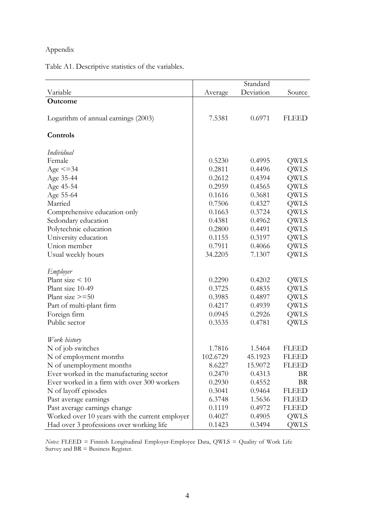### Appendix

Table A1. Descriptive statistics of the variables.

|                                                |          | Standard  |              |
|------------------------------------------------|----------|-----------|--------------|
| Variable                                       | Average  | Deviation | Source       |
| Outcome                                        |          |           |              |
|                                                |          |           |              |
| Logarithm of annual earnings (2003)            | 7.5381   | 0.6971    | <b>FLEED</b> |
|                                                |          |           |              |
| Controls                                       |          |           |              |
| Individual                                     |          |           |              |
| Female                                         | 0.5230   | 0.4995    | <b>QWLS</b>  |
| Age $\leq$ = 34                                | 0.2811   | 0.4496    | QWLS         |
| Age 35-44                                      | 0.2612   | 0.4394    | <b>QWLS</b>  |
| Age 45-54                                      | 0.2959   | 0.4565    | QWLS         |
| Age 55-64                                      | 0.1616   | 0.3681    | QWLS         |
| Married                                        | 0.7506   | 0.4327    | <b>QWLS</b>  |
|                                                | 0.1663   | 0.3724    | <b>QWLS</b>  |
| Comprehensive education only                   | 0.4381   | 0.4962    |              |
| Sedondary education                            |          |           | QWLS         |
| Polytechnic education                          | 0.2800   | 0.4491    | QWLS         |
| University education<br>Union member           | 0.1155   | 0.3197    | QWLS         |
|                                                | 0.7911   | 0.4066    | QWLS         |
| Usual weekly hours                             | 34.2205  | 7.1307    | QWLS         |
| <i>Employer</i>                                |          |           |              |
| Plant size $\leq 10$                           | 0.2290   | 0.4202    | <b>QWLS</b>  |
| Plant size 10-49                               | 0.3725   | 0.4835    | QWLS         |
| Plant size $>=50$                              | 0.3985   | 0.4897    | QWLS         |
| Part of multi-plant firm                       | 0.4217   | 0.4939    | QWLS         |
| Foreign firm                                   | 0.0945   | 0.2926    | QWLS         |
| Public sector                                  | 0.3535   | 0.4781    | QWLS         |
|                                                |          |           |              |
| Work history                                   |          |           |              |
| N of job switches                              | 1.7816   | 1.5464    | <b>FLEED</b> |
| N of employment months                         | 102.6729 | 45.1923   | <b>FLEED</b> |
| N of unemployment months                       | 8.6227   | 15.9072   | <b>FLEED</b> |
| Ever worked in the manufacturing sector        | 0.2470   | 0.4313    | BR           |
| Ever worked in a firm with over 300 workers    | 0.2930   | 0.4552    | BR           |
| N of layoff episodes                           | 0.3041   | 0.9464    | <b>FLEED</b> |
| Past average earnings                          | 6.3748   | 1.5636    | <b>FLEED</b> |
| Past average earnings change                   | 0.1119   | 0.4972    | <b>FLEED</b> |
| Worked over 10 years with the current employer | 0.4027   | 0.4905    | QWLS         |
|                                                |          |           |              |
| Had over 3 professions over working life       | 0.1423   | 0.3494    | <b>QWLS</b>  |

*Notes:* FLEED = Finnish Longitudinal Employer-Employee Data, QWLS = Quality of Work Life Survey and BR = Business Register.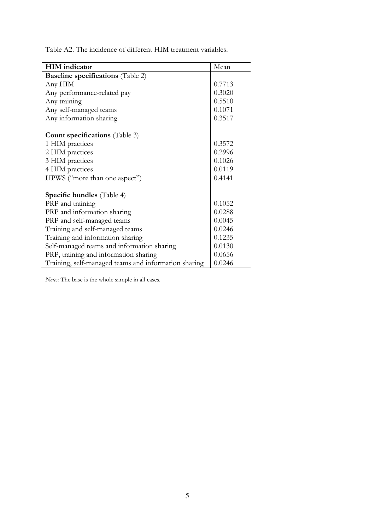Table A2. The incidence of different HIM treatment variables.

| <b>HIM</b> indicator                                 | Mean   |
|------------------------------------------------------|--------|
| <b>Baseline specifications</b> (Table 2)             |        |
| Any HIM                                              | 0.7713 |
| Any performance-related pay                          | 0.3020 |
| Any training                                         | 0.5510 |
| Any self-managed teams                               | 0.1071 |
| Any information sharing                              | 0.3517 |
|                                                      |        |
| <b>Count specifications</b> (Table 3)                |        |
| 1 HIM practices                                      | 0.3572 |
| 2 HIM practices                                      | 0.2996 |
| 3 HIM practices                                      | 0.1026 |
| 4 HIM practices                                      | 0.0119 |
| HPWS ("more than one aspect")                        | 0.4141 |
| <b>Specific bundles</b> (Table 4)                    |        |
| PRP and training                                     | 0.1052 |
| PRP and information sharing                          | 0.0288 |
| PRP and self-managed teams                           | 0.0045 |
| Training and self-managed teams                      | 0.0246 |
| Training and information sharing                     | 0.1235 |
| Self-managed teams and information sharing           | 0.0130 |
| PRP, training and information sharing                | 0.0656 |
| Training, self-managed teams and information sharing | 0.0246 |

*Notes:* The base is the whole sample in all cases.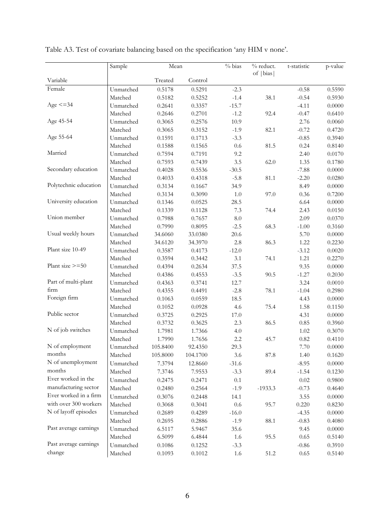|                       | Sample    | Mean     |          | % bias  | % reduct. | t-statistic | p-value    |
|-----------------------|-----------|----------|----------|---------|-----------|-------------|------------|
|                       |           |          |          |         | of   bias |             |            |
| Variable              |           | Treated  | Control  |         |           |             |            |
| Female                | Unmatched | 0.5178   | 0.5291   | $-2.3$  |           | $-0.58$     | 0.5590     |
|                       | Matched   | 0.5182   | 0.5252   | $-1.4$  | 38.1      | $-0.54$     | 0.5930     |
| $Age \leq 34$         | Unmatched | 0.2641   | 0.3357   | $-15.7$ |           | $-4.11$     | 0.0000     |
|                       | Matched   | 0.2646   | 0.2701   | $-1.2$  | 92.4      | $-0.47$     | 0.6410     |
| Age 45-54             | Unmatched | 0.3065   | 0.2576   | 10.9    |           | 2.76        | 0.0060     |
|                       | Matched   | 0.3065   | 0.3152   | $-1.9$  | 82.1      | $-0.72$     | 0.4720     |
| Age 55-64             | Unmatched | 0.1591   | 0.1713   | $-3.3$  |           | $-0.85$     | 0.3940     |
|                       | Matched   | 0.1588   | 0.1565   | 0.6     | 81.5      | 0.24        | 0.8140     |
| Married               | Unmatched | 0.7594   | 0.7191   | 9.2     |           | 2.40        | 0.0170     |
|                       | Matched   | 0.7593   | 0.7439   | 3.5     | 62.0      | 1.35        | 0.1780     |
| Secondary education   | Unmatched | 0.4028   | 0.5536   | $-30.5$ |           | $-7.88$     | 0.0000     |
|                       | Matched   | 0.4033   | 0.4318   | $-5.8$  | 81.1      | $-2.20$     | 0.0280     |
| Polytechnic education | Unmatched | 0.3134   | 0.1667   | 34.9    |           | 8.49        | 0.0000     |
|                       | Matched   | 0.3134   | 0.3090   | 1.0     | 97.0      | 0.36        | 0.7200     |
| University education  | Unmatched | 0.1346   | 0.0525   | 28.5    |           | 6.64        | 0.0000     |
|                       | Matched   | 0.1339   | 0.1128   | 7.3     | 74.4      | 2.43        | 0.0150     |
| Union member          | Unmatched | 0.7988   | 0.7657   | 8.0     |           | 2.09        | 0.0370     |
|                       | Matched   | 0.7990   | 0.8095   | $-2.5$  | 68.3      | $-1.00$     | 0.3160     |
| Usual weekly hours    | Unmatched | 34.6060  | 33.0380  | 20.6    |           | 5.70        | 0.0000     |
|                       | Matched   | 34.6120  | 34.3970  | 2.8     | 86.3      | 1.22        | 0.2230     |
| Plant size 10-49      | Unmatched | 0.3587   | 0.4173   | $-12.0$ |           | $-3.12$     | 0.0020     |
|                       | Matched   | 0.3594   | 0.3442   | 3.1     | 74.1      | 1.21        | 0.2270     |
| Plant size $>=50$     | Unmatched | 0.4394   | 0.2634   | 37.5    |           | 9.35        | 0.0000     |
|                       | Matched   | 0.4386   | 0.4553   | $-3.5$  | 90.5      | $-1.27$     | 0.2030     |
| Part of multi-plant   | Unmatched | 0.4363   | 0.3741   | 12.7    |           | 3.24        | 0.0010     |
| firm                  | Matched   | 0.4355   | 0.4491   | $-2.8$  | 78.1      | $-1.04$     | 0.2980     |
| Foreign firm          | Unmatched | 0.1063   | 0.0559   | 18.5    |           | 4.43        | 0.0000     |
|                       | Matched   | 0.1052   | 0.0928   | 4.6     | 75.4      | 1.58        | 0.1150     |
| Public sector         | Unmatched | 0.3725   | 0.2925   | 17.0    |           | 4.31        | 0.0000     |
|                       | Matched   | 0.3732   | 0.3625   | 2.3     | 86.5      | 0.85        | 0.3960     |
| N of job switches     | Unmatched | 1.7981   | 1.7366   | 4.0     |           | 1.02        | 0.3070     |
|                       | Matched   | 1.7990   | 1.7656   | 2.2     | 45.7      | 0.82        | 0.4110     |
| N of employment       | Unmatched | 105.8400 | 92.4350  | 29.3    |           | 7.70        | 0.0000     |
| months                | Matched   | 105.8000 | 104.1700 | 3.6     | $87.8\,$  | 1.40        | 0.1620     |
| N of unemployment     | Unmatched | 7.3794   | 12.8660  | $-31.6$ |           | $-8.95$     | $0.0000\,$ |
| months                | Matched   | 7.3746   | 7.9553   | $-3.3$  | 89.4      | $-1.54$     | 0.1230     |
| Ever worked in the    | Unmatched | 0.2475   | 0.2471   | 0.1     |           | 0.02        | 0.9800     |
| manufacturing sector  | Matched   | 0.2480   | 0.2564   | $-1.9$  | $-1933.3$ | $-0.73$     | 0.4640     |
| Ever worked in a firm | Unmatched | 0.3076   | 0.2448   | 14.1    |           | 3.55        | 0.0000     |
| with over 300 workers | Matched   | 0.3068   | 0.3041   | 0.6     | 95.7      | 0.220       | 0.8230     |
| N of layoff episodes  | Unmatched | 0.2689   | 0.4289   | $-16.0$ |           | $-4.35$     | 0.0000     |
|                       | Matched   | 0.2695   | 0.2886   | $-1.9$  | 88.1      | $-0.83$     | 0.4080     |
| Past average earnings | Unmatched | 6.5117   | 5.9467   | 35.6    |           | 9.45        | 0.0000     |
|                       | Matched   | 6.5099   | 6.4844   | 1.6     | 95.5      | 0.65        | 0.5140     |
| Past average earnings | Unmatched | 0.1086   | 0.1252   | $-3.3$  |           | $-0.86$     | 0.3910     |
| change                | Matched   | 0.1093   | 0.1012   | 1.6     | 51.2      | 0.65        | 0.5140     |
|                       |           |          |          |         |           |             |            |

Table A3. Test of covariate balancing based on the specification "any HIM v none".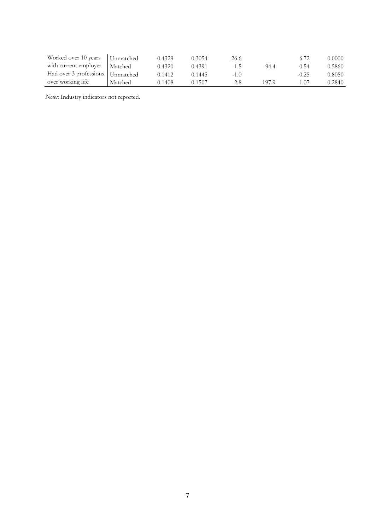| Worked over 10 years Unmatched     |         | 0.4329 | 0.3054 | 26.6   |         | 6.72    | 0.0000 |
|------------------------------------|---------|--------|--------|--------|---------|---------|--------|
| with current employer   Matched    |         | 0.4320 | 0.4391 | $-1.5$ | 94.4    | $-0.54$ | 0.5860 |
| Had over 3 professions   Unmatched |         | 0.1412 | 0.1445 | $-1.0$ |         | $-0.25$ | 0.8050 |
| over working life                  | Matched | 0.1408 | 0.1507 | $-2.8$ | $-1979$ | $-1.07$ | 0.2840 |

*Notes:* Industry indicators not reported.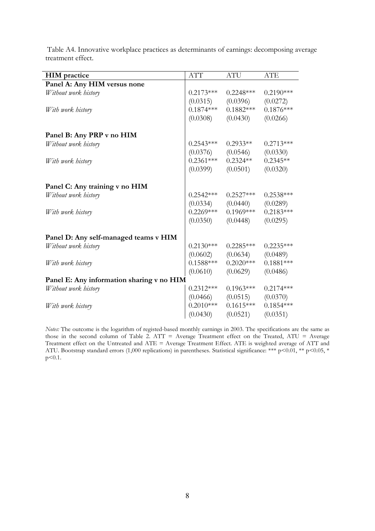| <b>HIM</b> practice                       | $\operatorname{ATT}$    | <b>ATU</b>              | <b>ATE</b>              |
|-------------------------------------------|-------------------------|-------------------------|-------------------------|
| Panel A: Any HIM versus none              |                         |                         |                         |
| Without work history                      | $0.2173***$             | $0.2248***$             | $0.2190***$             |
|                                           | (0.0315)                | (0.0396)                | (0.0272)                |
| With work history                         | $0.1874***$             | $0.1882***$             | $0.1876***$             |
|                                           | (0.0308)                | (0.0430)                | (0.0266)                |
|                                           |                         |                         |                         |
| Panel B: Any PRP v no HIM                 |                         |                         |                         |
| Without work history                      | $0.2543***$             | $0.2933**$              | $0.2713***$             |
|                                           | (0.0376)                | (0.0546)                | (0.0330)                |
| With work history                         | $0.2361***$             | $0.2324**$              | $0.2345**$              |
|                                           | (0.0399)                | (0.0501)                | (0.0320)                |
|                                           |                         |                         |                         |
| Panel C: Any training v no HIM            | $0.2542***$             | $0.2527***$             | $0.2538***$             |
| Without work history                      |                         |                         |                         |
|                                           | (0.0334)<br>$0.2269***$ | (0.0440)<br>$0.1969***$ | (0.0289)<br>$0.2183***$ |
| With work history                         |                         |                         |                         |
|                                           | (0.0350)                | (0.0448)                | (0.0295)                |
| Panel D: Any self-managed teams v HIM     |                         |                         |                         |
| Without work history                      | $0.2130***$             | $0.2285***$             | $0.2235***$             |
|                                           | (0.0602)                | (0.0634)                | (0.0489)                |
| With work history                         | $0.1588***$             | $0.2020***$             | $0.1881***$             |
|                                           | (0.0610)                | (0.0629)                | (0.0486)                |
| Panel E: Any information sharing v no HIM |                         |                         |                         |
| Without work history                      | $0.2312***$             | $0.1963***$             | $0.2174***$             |
|                                           | (0.0466)                | (0.0515)                | (0.0370)                |
| With work history                         | $0.2010***$             | $0.1615***$             | $0.1854***$             |
|                                           | (0.0430)                | (0.0521)                | (0.0351)                |

 Table A4. Innovative workplace practices as determinants of earnings: decomposing average treatment effect.

*Notes:* The outcome is the logarithm of registed-based monthly earnings in 2003. The specifications are the same as those in the second column of Table 2. ATT = Average Treatment effect on the Treated, ATU = Average Treatment effect on the Untreated and ATE = Average Treatment Effect. ATE is weighted average of ATT and ATU. Bootstrap standard errors (1,000 replications) in parentheses. Statistical significance: \*\*\* p<0.01, \*\* p<0.05, \*  $p<0.1$ .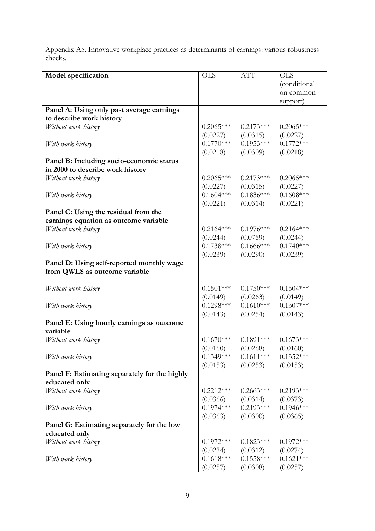Appendix A5. Innovative workplace practices as determinants of earnings: various robustness checks.

| <b>Model specification</b>                    | <b>OLS</b>  | ATT         | <b>OLS</b>   |
|-----------------------------------------------|-------------|-------------|--------------|
|                                               |             |             | (conditional |
|                                               |             |             |              |
|                                               |             |             | on common    |
| Panel A: Using only past average earnings     |             |             | support)     |
| to describe work history                      |             |             |              |
| Without work history                          | $0.2065***$ | $0.2173***$ | $0.2065***$  |
|                                               | (0.0227)    | (0.0315)    | (0.0227)     |
| With work history                             | $0.1770***$ | $0.1953***$ | $0.1772***$  |
|                                               | (0.0218)    | (0.0309)    | (0.0218)     |
| Panel B: Including socio-economic status      |             |             |              |
| in 2000 to describe work history              |             |             |              |
| Without work history                          | $0.2065***$ | $0.2173***$ | $0.2065***$  |
|                                               | (0.0227)    | (0.0315)    | (0.0227)     |
| With work history                             | $0.1604***$ | $0.1836***$ | $0.1608***$  |
|                                               | (0.0221)    | (0.0314)    | (0.0221)     |
| Panel C: Using the residual from the          |             |             |              |
| earnings equation as outcome variable         |             |             |              |
| Without work history                          | $0.2164***$ | $0.1976***$ | $0.2164***$  |
|                                               | (0.0244)    | (0.0759)    | (0.0244)     |
| With work history                             | $0.1738***$ | $0.1666***$ | $0.1740***$  |
|                                               | (0.0239)    | (0.0290)    | (0.0239)     |
| Panel D: Using self-reported monthly wage     |             |             |              |
| from QWLS as outcome variable                 |             |             |              |
|                                               |             |             |              |
| Without work history                          | $0.1501***$ | $0.1750***$ | $0.1504***$  |
|                                               | (0.0149)    | (0.0263)    | (0.0149)     |
| With work history                             | $0.1298***$ | $0.1610***$ | $0.1307***$  |
|                                               | (0.0143)    | (0.0254)    | (0.0143)     |
| Panel E: Using hourly earnings as outcome     |             |             |              |
| variable                                      |             |             |              |
| Without work history                          | $0.1670***$ | $0.1891***$ | $0.1673***$  |
|                                               | (0.0160)    | (0.0268)    | (0.0160)     |
| With work history                             | $0.1349***$ | $0.1611***$ | $0.1352***$  |
|                                               | (0.0153)    | (0.0253)    | (0.0153)     |
| Panel F: Estimating separately for the highly |             |             |              |
| educated only                                 |             |             |              |
| Without work history                          | $0.2212***$ | $0.2663***$ | $0.2193***$  |
|                                               | (0.0366)    | (0.0314)    | (0.0373)     |
| With work history                             | $0.1974***$ | $0.2193***$ | $0.1946***$  |
|                                               | (0.0363)    | (0.0300)    | (0.0365)     |
| Panel G: Estimating separately for the low    |             |             |              |
| educated only                                 |             |             |              |
| Without work history                          | $0.1972***$ | $0.1823***$ | $0.1972***$  |
|                                               | (0.0274)    | (0.0312)    | (0.0274)     |
| With work history                             | $0.1618***$ | $0.1558***$ | $0.1621***$  |
|                                               | (0.0257)    | (0.0308)    | (0.0257)     |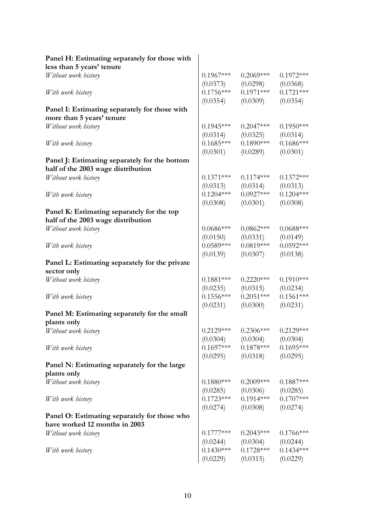| Panel H: Estimating separately for those with  |             |             |              |
|------------------------------------------------|-------------|-------------|--------------|
| less than 5 years' tenure                      |             |             |              |
| Without work history                           | $0.1967***$ | $0.2069***$ | $0.1972***$  |
|                                                | (0.0373)    | (0.0298)    | (0.0368)     |
| With work history                              | $0.1756***$ | $0.1971***$ | $0.1721***$  |
|                                                | (0.0354)    | (0.0309)    | (0.0354)     |
| Panel I: Estimating separately for those with  |             |             |              |
|                                                |             |             |              |
| more than 5 years' tenure                      |             |             |              |
| Without work history                           | $0.1945***$ | $0.2047***$ | $0.1950***$  |
|                                                | (0.0314)    | (0.0325)    | (0.0314)     |
| With work history                              | $0.1685***$ | $0.1890***$ | $0.1686***$  |
|                                                | (0.0301)    | (0.0289)    | (0.0301)     |
| Panel J: Estimating separately for the bottom  |             |             |              |
| half of the 2003 wage distribution             |             |             |              |
| Without work history                           | $0.1371***$ | $0.1174***$ | $0.1372***$  |
|                                                | (0.0313)    | (0.0314)    | (0.0313)     |
| With work history                              | $0.1204***$ | $0.0927***$ | $0.1204***$  |
|                                                | (0.0308)    | (0.0301)    | (0.0308)     |
| Panel K: Estimating separately for the top     |             |             |              |
| half of the 2003 wage distribution             |             |             |              |
| Without work history                           | $0.0686***$ | $0.0862***$ | $0.0688***$  |
|                                                | (0.0150)    | (0.0331)    | (0.0149)     |
|                                                |             |             | $0.0592***$  |
| With work history                              | $0.0589***$ | $0.0819***$ |              |
|                                                | (0.0139)    | (0.0307)    | (0.0138)     |
| Panel L: Estimating separately for the private |             |             |              |
| sector only                                    |             |             |              |
| Without work history                           | $0.1881***$ | $0.2220***$ | $0.1910***$  |
|                                                | (0.0235)    | (0.0315)    | (0.0234)     |
| With work history                              | $0.1556***$ | $0.2051***$ | $0.1561***$  |
|                                                | (0.0231)    | (0.0300)    | (0.0231)     |
| Panel M: Estimating separately for the small   |             |             |              |
| plants only                                    |             |             |              |
| Without work history                           | $0.2129***$ | $0.2306***$ | $0.2129***$  |
|                                                | (0.0304)    | (0.0304)    | (0.0304)     |
| With work history                              | $0.1697***$ | $0.1878***$ | $0.1695***$  |
|                                                | (0.0295)    | (0.0318)    | (0.0295)     |
| Panel N: Estimating separately for the large   |             |             |              |
| plants only                                    |             |             |              |
|                                                |             |             |              |
| Without work history                           | $0.1880***$ | $0.2009***$ | $0.1887***$  |
|                                                | (0.0285)    | (0.0306)    | (0.0285)     |
| With work history                              | $0.1723***$ | $0.1914***$ | $0.1707***$  |
|                                                | (0.0274)    | (0.0308)    | (0.0274)     |
| Panel O: Estimating separately for those who   |             |             |              |
| have worked 12 months in 2003                  |             |             |              |
| Without work history                           | $0.1777***$ | $0.2043***$ | $0.1766$ *** |
|                                                | (0.0244)    | (0.0304)    | (0.0244)     |
| With work history                              | $0.1430***$ | $0.1728***$ | $0.1434***$  |
|                                                | (0.0229)    | (0.0315)    | (0.0229)     |
|                                                |             |             |              |